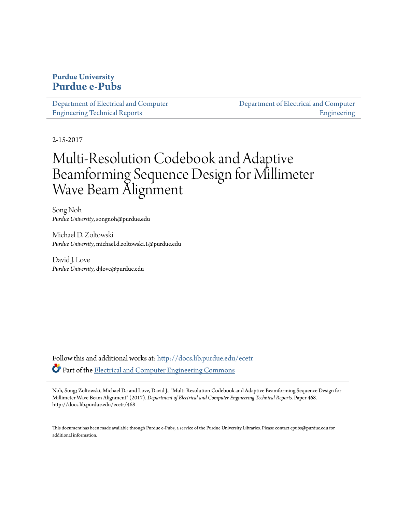# **Purdue University [Purdue e-Pubs](http://docs.lib.purdue.edu?utm_source=docs.lib.purdue.edu%2Fecetr%2F468&utm_medium=PDF&utm_campaign=PDFCoverPages)**

[Department of Electrical and Computer](http://docs.lib.purdue.edu/ecetr?utm_source=docs.lib.purdue.edu%2Fecetr%2F468&utm_medium=PDF&utm_campaign=PDFCoverPages) [Engineering Technical Reports](http://docs.lib.purdue.edu/ecetr?utm_source=docs.lib.purdue.edu%2Fecetr%2F468&utm_medium=PDF&utm_campaign=PDFCoverPages)

[Department of Electrical and Computer](http://docs.lib.purdue.edu/ece?utm_source=docs.lib.purdue.edu%2Fecetr%2F468&utm_medium=PDF&utm_campaign=PDFCoverPages) [Engineering](http://docs.lib.purdue.edu/ece?utm_source=docs.lib.purdue.edu%2Fecetr%2F468&utm_medium=PDF&utm_campaign=PDFCoverPages)

2-15-2017

# Multi-Resolution Codebook and Adaptive Beamforming Sequence Design for Millimeter Wave Beam Alignment

Song Noh *Purdue University*, songnoh@purdue.edu

Michael D. Zoltowski *Purdue University*, michael.d.zoltowski.1@purdue.edu

David J. Love *Purdue University*, djlove@purdue.edu

Follow this and additional works at: [http://docs.lib.purdue.edu/ecetr](http://docs.lib.purdue.edu/ecetr?utm_source=docs.lib.purdue.edu%2Fecetr%2F468&utm_medium=PDF&utm_campaign=PDFCoverPages) Part of the [Electrical and Computer Engineering Commons](http://network.bepress.com/hgg/discipline/266?utm_source=docs.lib.purdue.edu%2Fecetr%2F468&utm_medium=PDF&utm_campaign=PDFCoverPages)

Noh, Song; Zoltowski, Michael D.; and Love, David J., "Multi-Resolution Codebook and Adaptive Beamforming Sequence Design for Millimeter Wave Beam Alignment" (2017). *Department of Electrical and Computer Engineering Technical Reports.* Paper 468. http://docs.lib.purdue.edu/ecetr/468

This document has been made available through Purdue e-Pubs, a service of the Purdue University Libraries. Please contact epubs@purdue.edu for additional information.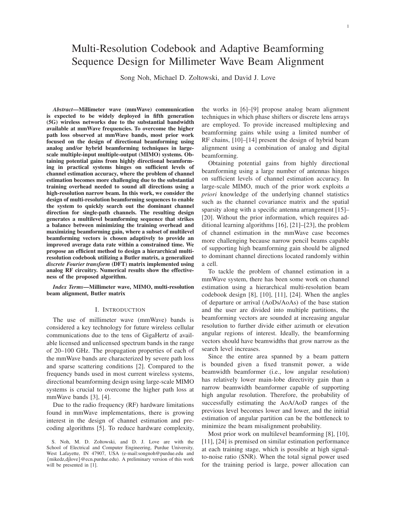# Multi-Resolution Codebook and Adaptive Beamforming Sequence Design for Millimeter Wave Beam Alignment

Song Noh, Michael D. Zoltowski, and David J. Love

*Abstract*—Millimeter wave (mmWave) communication is expected to be widely deployed in fifth generation (5G) wireless networks due to the substantial bandwidth available at mmWave frequencies. To overcome the higher path loss observed at mmWave bands, most prior work focused on the design of directional beamforming using analog and/or hybrid beamforming techniques in largescale multiple-input multiple-output (MIMO) systems. Obtaining potential gains from highly directional beamforming in practical systems hinges on sufficient levels of channel estimation accuracy, where the problem of channel estimation becomes more challenging due to the substantial training overhead needed to sound all directions using a high-resolution narrow beam. In this work, we consider the design of multi-resolution beamforming sequences to enable the system to quickly search out the dominant channel direction for single-path channels. The resulting design generates a multilevel beamforming sequence that strikes a balance between minimizing the training overhead and maximizing beamforming gain, where a subset of multilevel beamforming vectors is chosen adaptively to provide an improved average data rate within a constrained time. We propose an efficient method to design a hierarchical multiresolution codebook utilizing a Butler matrix, a generalized *discrete Fourier transform* (DFT) matrix implemented using analog RF circuitry. Numerical results show the effectiveness of the proposed algorithm.

*Index Terms*—Millimeter wave, MIMO, multi-resolution beam alignment, Butler matrix

#### I. INTRODUCTION

The use of millimeter wave (mmWave) bands is considered a key technology for future wireless cellular communications due to the tens of GigaHertz of available licensed and unlicensed spectrum bands in the range of 20–100 GHz. The propagation properties of each of the mmWave bands are characterized by severe path loss and sparse scattering conditions [2]. Compared to the frequency bands used in most current wireless systems, directional beamforming design using large-scale MIMO systems is crucial to overcome the higher path loss at mmWave bands [3], [4].

Due to the radio frequency (RF) hardware limitations found in mmWave implementations, there is growing interest in the design of channel estimation and precoding algorithms [5]. To reduce hardware complexity, the works in [6]–[9] propose analog beam alignment techniques in which phase shifters or discrete lens arrays are employed. To provide increased multiplexing and beamforming gains while using a limited number of RF chains, [10]–[14] present the design of hybrid beam alignment using a combination of analog and digital beamforming.

Obtaining potential gains from highly directional beamforming using a large number of antennas hinges on sufficient levels of channel estimation accuracy. In large-scale MIMO, much of the prior work exploits *a priori* knowledge of the underlying channel statistics such as the channel covariance matrix and the spatial sparsity along with a specific antenna arrangement [15]– [20]. Without the prior information, which requires additional learning algorithms [16], [21]–[23], the problem of channel estimation in the mmWave case becomes more challenging because narrow pencil beams capable of supporting high beamforming gain should be aligned to dominant channel directions located randomly within a cell.

To tackle the problem of channel estimation in a mmWave system, there has been some work on channel estimation using a hierarchical multi-resolution beam codebook design [8], [10], [11], [24]. When the angles of departure or arrival (AoDs/AoAs) of the base station and the user are divided into multiple partitions, the beamforming vectors are sounded at increasing angular resolution to further divide either azimuth or elevation angular regions of interest. Ideally, the beamforming vectors should have beamwidths that grow narrow as the search level increases.

Since the entire area spanned by a beam pattern is bounded given a fixed transmit power, a wide beamwidth beamformer (i.e., low angular resolution) has relatively lower main-lobe directivity gain than a narrow beamwidth beamformer capable of supporting high angular resolution. Therefore, the probability of successfully estimating the AoA/AoD ranges of the previous level becomes lower and lower, and the initial estimation of angular partition can be the bottleneck to minimize the beam misalignment probability.

Most prior work on multilevel beamforming [8], [10], [11], [24] is premised on similar estimation performance at each training stage, which is possible at high signalto-noise ratio (SNR). When the total signal power used for the training period is large, power allocation can

S. Noh, M. D. Zoltowski, and D. J. Love are with the School of Electrical and Computer Engineering, Purdue University, West Lafayette, IN 47907, USA (e-mail:songnoh@purdue.edu and {mikedz,djlove}@ecn.purdue.edu). A preliminary version of this work will be presented in [1].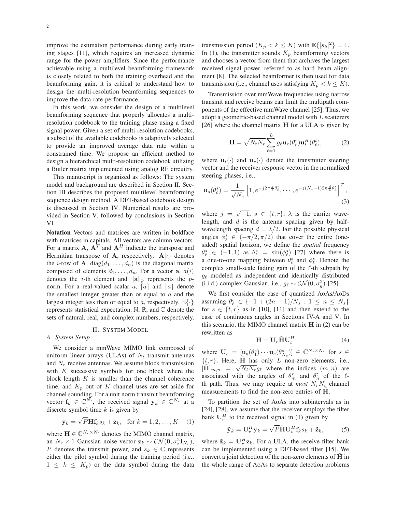improve the estimation performance during early training stages [11], which requires an increased dynamic range for the power amplifiers. Since the performance achievable using a multilevel beamforming framework is closely related to both the training overhead and the beamforming gain, it is critical to understand how to design the multi-resolution beamforming sequences to improve the data rate performance.

In this work, we consider the design of a multilevel beamforming sequence that properly allocates a multiresolution codebook to the training phase using a fixed signal power. Given a set of multi-resolution codebooks, a subset of the available codebooks is adaptively selected to provide an improved average data rate within a constrained time. We propose an efficient method to design a hierarchical multi-resolution codebook utilizing a Butler matrix implemented using analog RF circuitry.

This manuscript is organized as follows: The system model and background are described in Section II. Section III describes the proposed multilevel beamforming sequence design method. A DFT-based codebook design is discussed in Section IV. Numerical results are provided in Section V, followed by conclusions in Section VI.

Notation Vectors and matrices are written in boldface with matrices in capitals. All vectors are column vectors. For a matrix **A**,  $A<sup>T</sup>$  and  $A<sup>H</sup>$  indicate the transpose and Hermitian transpose of A, respectively.  $[A]_{i,:}$  denotes the *i*-row of **A**. diag $(d_1, \ldots, d_n)$  is the diagonal matrix composed of elements  $d_1, \ldots, d_n$ . For a vector a,  $a(i)$ denotes the *i*-th element and  $\|\mathbf{a}\|_p$  represents the *p*norm. For a real-valued scalar  $a, [a]$  and  $|a|$  denote the smallest integer greater than or equal to  $a$  and the largest integer less than or equal to a, respectively.  $\mathbb{E}\{\cdot\}$ represents statistical expectation. N, R, and C denote the sets of natural, real, and complex numbers, respectively.

## II. SYSTEM MODEL

#### *A. System Setup*

We consider a mmWave MIMO link composed of uniform linear arrays (ULAs) of  $N_t$  transmit antennas and  $N_r$  receive antennas. We assume block transmission with  $K$  successive symbols for one block where the block length  $K$  is smaller than the channel coherence time, and  $K_p$  out of K channel uses are set aside for channel sounding. For a unit norm transmit beamforming vector  $f_k \in \mathbb{C}^{N_t}$ , the received signal  $y_k \in \mathbb{C}^{N_r}$  at a discrete symbol time  $k$  is given by

$$
\mathbf{y}_k = \sqrt{P} \mathbf{H} \mathbf{f}_k s_k + \mathbf{z}_k, \text{ for } k = 1, 2, \dots, K \quad (1)
$$

where  $\mathbf{H} \in \mathbb{C}^{N_r \times N_t}$  denotes the MIMO channel matrix, an  $N_r \times 1$  Gaussian noise vector  $\mathbf{z}_k \sim \mathcal{CN}(\mathbf{0}, \sigma_z^2 \mathbf{I}_{N_r}),$ P denotes the transmit power, and  $s_k \in \mathbb{C}$  represents either the pilot symbol during the training period (i.e.,  $1 \leq k \leq K_p$ ) or the data symbol during the data

transmission period ( $K_p < k \le K$ ) with  $\mathbb{E}\{|s_k|^2\} = 1$ . In (1), the transmitter sounds  $K_p$  beamforming vectors and chooses a vector from them that archives the largest received signal power, referred to as hard beam alignment [8]. The selected beamformer is then used for data transmission (i.e., channel uses satisfying  $K_p < k \leq K$ ).

Transmission over mmWave frequencies using narrow transmit and receive beams can limit the multipath components of the effective mmWave channel [25]. Thus, we adopt a geometric-based channel model with L scatterers [26] where the channel matrix **H** for a ULA is given by

$$
\mathbf{H} = \sqrt{N_t N_r} \sum_{\ell=1}^{L} g_{\ell} \mathbf{u}_r(\theta_{\ell}^r) \mathbf{u}_t^H(\theta_{\ell}^t), \tag{2}
$$

where  $\mathbf{u}_t(\cdot)$  and  $\mathbf{u}_r(\cdot)$  denote the transmitter steering vector and the receiver response vector in the normalized steering phases, i.e.,

$$
\mathbf{u}_s(\theta_\ell^s) = \frac{1}{\sqrt{N_s}} \left[ 1, e^{-j2\pi \frac{d}{\lambda} \theta_\ell^s}, \cdots, e^{-j(N_s - 1)2\pi \frac{d}{\lambda} \theta_\ell^s} \right]^T, \tag{3}
$$

where  $j = \sqrt{-1}$ ,  $s \in \{t, r\}$ ,  $\lambda$  is the carrier wavelength, and  $d$  is the antenna spacing given by halfwavelength spacing  $d = \lambda/2$ . For the possible physical angles  $\phi_{\ell}^{s} \in (-\pi/2, \pi/2)$  that cover the entire (onesided) spatial horizon, we define the *spatial* frequency  $\theta_{\ell}^s \in (-1,1)$  as  $\theta_{\ell}^s = \sin(\phi_{\ell}^s)$  [27] where there is a one-to-one mapping between  $\theta_{\ell}^{s}$  and  $\phi_{\ell}^{s}$ . Denote the complex small-scale fading gain of the  $\ell$ -th subpath by  $g_{\ell}$  modeled as independent and identically distributed (i.i.d.) complex Gaussian, i.e.,  $g_{\ell} \sim \mathcal{CN}(0, \sigma_g^2)$  [25].

We first consider the case of quantized AoAs/AoDs assuming  $\theta_{\ell}^{s} \in \{-1 + (2n - 1)/N_s : 1 \leq n \leq N_s\}$ for  $s \in \{t, r\}$  as in [10], [11] and then extend to the case of continuous angles in Sections IV-A and V. In this scenario, the MIMO channel matrix  $H$  in  $(2)$  can be rewritten as

$$
\mathbf{H} = \mathbf{U}_r \tilde{\mathbf{H}} \mathbf{U}_t^H
$$
 (4)

where  $\mathbf{U}_s = [\mathbf{u}_s(\theta_1^s) \cdots \mathbf{u}_s(\theta_{N_s}^s)] \in \mathbb{C}^{N_s \times N_s}$  for  $s \in$  $\{t, r\}$ . Here,  $\hat{H}$  has only  $L$  non-zero elements, i.e.,  $[\mathbf{\tilde{H}}]_{m,n} = \sqrt{N_t N_r} g_\ell$  where the indices  $(m, n)$  are associated with the angles of  $\theta_m^r$  and  $\theta_n^t$  of the  $\ell$ th path. Thus, we may require at *most*  $N_rN_t$  channel measurements to find the non-zero entries of H.

To partition the set of AoAs into subintervals as in [24], [28], we assume that the receiver employs the filter bank  $\mathbf{U}_r^H$  to the received signal in (1) given by

$$
\tilde{\mathbf{y}}_k = \mathbf{U}_r^H \mathbf{y}_k = \sqrt{P} \tilde{\mathbf{H}} \mathbf{U}_t^H \mathbf{f}_k s_k + \tilde{\mathbf{z}}_k, \tag{5}
$$

where  $\tilde{\mathbf{z}}_k = \mathbf{U}_r^H \mathbf{z}_k$ . For a ULA, the receive filter bank can be implemented using a DFT-based filter [15]. We convert a joint detection of the non-zero elements of  $H$  in the whole range of AoAs to separate detection problems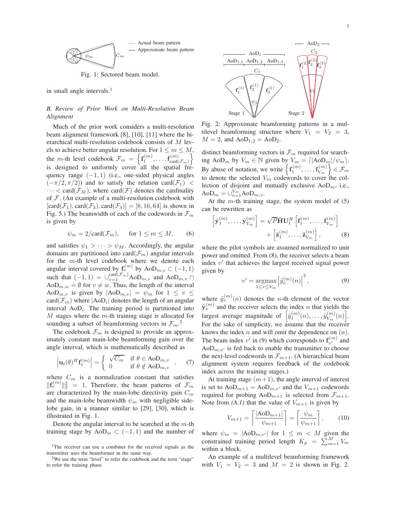

Fig. 1: Sectored beam model.

in small angle intervals.<sup>1</sup>

*B. Review of Prior Work on Multi-Resolution Beam Alignment*

Much of the prior work considers a multi-resolution beam alignment framework [8], [10], [11] where the hierarchical multi-resolution codebook consists of M levels to achieve better angular resolution. For  $1 \le m \le M$ , the *m*-th level codebook  $\mathcal{F}_m = \left\{ \mathbf{f}_1^{(m)}, \ldots, \mathbf{f}_{\text{card}}^{(m)} \right\}$  $card(\mathcal{F}_m)$ o is designed to uniformly cover all the spatial frequency range  $(-1, 1)$  (i.e., one-sided physical angles  $(-\pi/2, \pi/2)$  and to satisfy the relation card $(F_1)$  <  $\cdots < \text{card}(\mathcal{F}_M)$ , where  $\text{card}(\mathcal{F})$  denotes the cardinality of  $F$ . (An example of a multi-resolution codebook with  $[\text{card}(\mathcal{F}_1), \text{card}(\mathcal{F}_3), \text{card}(\mathcal{F}_3)] = [8, 16, 64]$  is shown in Fig. 5.) The beamwidth of each of the codewords in  $\mathcal{F}_m$ is given by

$$
\psi_m = 2/\text{card}(\mathcal{F}_m), \quad \text{for } 1 \le m \le M, \tag{6}
$$

and satisfies  $\psi_1 > \cdots > \psi_M$ . Accordingly, the angular domains are partitioned into card $(\mathcal{F}_m)$  angular intervals for the m-th level codebook where we denote each angular interval covered by  $f_v^{(m)}$  by AoD<sub>m,v</sub>  $\subset (-1,1)$ such that  $(-1, 1) = \bigcup_{v=1}^{\text{card}(\mathcal{F}_m)} \text{AoD}_{m,v}$  and  $\text{AoD}_{m,v} \cap$ AoD<sub>m,w</sub> =  $\emptyset$  for  $v \neq w$ . Thus, the length of the interval AoD<sub>m,v</sub> is given by  $|AoD<sub>m,v</sub>| = \psi_m$  for  $1 \le v \le$ card $(\mathcal{F}_m)$  where  $|\text{AoD}_i|$  denotes the length of an angular interval  $AoD<sub>i</sub>$ . The training period is partitioned into  $M$  stages where the  $m$ -th training stage is allocated for sounding a subset of beamforming vectors in  $\mathcal{F}_m$ .<sup>2</sup>

The codebook  $\mathcal{F}_m$  is designed to provide an approximately constant main-lobe beamforming gain over the angle interval, which is mathematically described as

$$
\left|\mathbf{u}_t(\theta)^H \mathbf{f}_v^{(m)}\right| = \begin{cases} \sqrt{C_m} & \text{if } \theta \in \text{AoD}_{m,v} \\ 0 & \text{if } \theta \notin \text{AoD}_{m,v} \end{cases}, \quad (7)
$$

where  $C_m$  is a normalization constant that satisfies  $||\mathbf{f}_v^{(m)}||_2^2 = 1$ . Therefore, the beam patterns of  $\mathcal{F}_m$ are characterized by the main-lobe directivity gain  $C_m$ and the main-lobe beamwidth  $\psi_m$  with negligible sidelobe gain, in a manner similar to [29], [30], which is illustrated in Fig. 1.

Denote the angular interval to be searched at the  $m$ -th training stage by AoD<sub>m</sub>  $\subset (-1,1)$  and the number of



Fig. 2: Approximate beamforming patterns in a multilevel beamforming structure where  $V_1 = V_2 = 3$ ,  $M = 2$ , and  $AoD<sub>1,2</sub> = AoD<sub>2</sub>$ .

distinct beamforming vectors in  $\mathcal{F}_m$  required for searching AoD<sub>m</sub> by  $V_m \in \mathbb{N}$  given by  $V_m = \frac{\left[\frac{1}{100}\right] \sqrt{m}}{\sqrt{m}}$ . By abuse of notation, we write  $\left\{ {\bf f}_1^{(m)}, \ldots, {\bf f}_{V_m}^{(m)} \right\}$  $\left\{\begin{matrix} \mathcal{C}(m)\ V_m \end{matrix}\right\} \in \mathcal{F}_m$ to denote the selected  $V_m$  codewords to cover the collection of disjoint and mutually exclusive  $AoD<sub>m</sub>$ , i.e.,  $A \odot D_m = \cup_{v=1}^{V_m} A \odot D_{m,v}.$ 

At the  $m$ -th training stage, the system model of  $(5)$ can be rewritten as

$$
\begin{bmatrix} \tilde{\mathbf{y}}_1^{(m)}, \dots, \tilde{\mathbf{y}}_{V_m}^{(m)} \end{bmatrix} = \sqrt{P} \tilde{\mathbf{H}} \mathbf{U}_t^H \begin{bmatrix} \mathbf{f}_1^{(m)}, \dots, \mathbf{f}_{V_m}^{(m)} \end{bmatrix} + \begin{bmatrix} \tilde{\mathbf{z}}_1^{(m)}, \dots, \tilde{\mathbf{z}}_{V_m}^{(m)} \end{bmatrix},
$$
(8)

where the pilot symbols are assumed normalized to unit power and omitted. From (8), the receiver selects a beam index  $v'$  that achieves the largest received signal power given by

$$
v' = \underset{1 \le v \le V_m}{\operatorname{argmax}} \left| \tilde{y}_v^{(m)}(n) \right|^2, \tag{9}
$$

where  $\tilde{y}_{v}^{(m)}(n)$  denotes the *n*-th element of the vector  $\tilde{\mathbf{y}}_v^{(m)}$  and the receiver selects the index n that yields the largest average magnitude of  $\left[\tilde{y}_1^{(m)}(n), \ldots, \tilde{y}_{V_m}^{(m)}\right]$  $\binom{m}{V_m}(n)$ . For the sake of simplicity, we assume that the receiver knows the index  $n$  and will omit the dependence on  $(n)$ . The beam index v' in (9) which corresponds to  $f_{n'}^{(m)}$  $v''$  and  $AoD<sub>m,v'</sub>$  is fed back to enable the transmitter to choose the next-level codewords in  $\mathcal{F}_{m+1}$ . (A hierarchical beam alignment system requires feedback of the codebook index across the training stages.)

At training stage  $(m+1)$ , the angle interval of interest is set to  $AoD_{m+1} = AoD_{m,v'}$  and the  $V_{m+1}$  codewords required for probing AoD<sub>m+1</sub> is selected from  $\mathcal{F}_{m+1}$ . Note from  $(A, I)$  that the value of  $V_{m+1}$  is given by

$$
V_{m+1} = \left\lceil \frac{|\text{AoD}_{m+1}|}{\psi_{m+1}} \right\rceil = \left\lceil \frac{\psi_m}{\psi_{m+1}} \right\rceil, \qquad (10)
$$

where  $\psi_m = |A \circ D_{m,v'}|$  for  $1 \leq m < M$  given the constrained training period length  $K_p = \sum_{m=1}^{M} V_m$ within a block.

An example of a multilevel beamforming framework with  $V_1 = V_2 = 3$  and  $M = 2$  is shown in Fig. 2.

<sup>&</sup>lt;sup>1</sup>The receiver can use a combiner for the received signals as the transmitter uses the beamformer in the same way.

<sup>&</sup>lt;sup>2</sup>We use the term "level" to refer the codebook and the term "stage" to refer the training phase.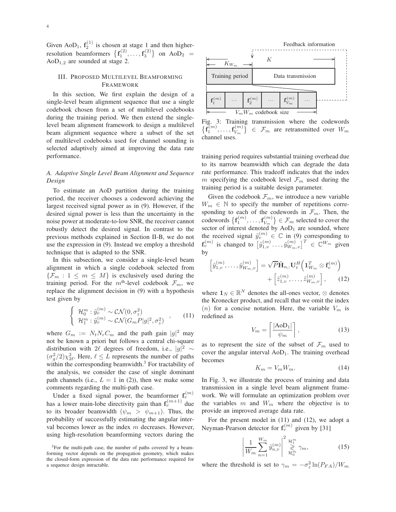Given AoD<sub>1</sub>,  $f_2^{(1)}$  is chosen at stage 1 and then higherresolution beamformers  $\left\{ {\bf f}_1^{(2)},\ldots,{\bf f}_3^{(2)} \right\}$  on AoD<sub>2</sub> =  $AoD<sub>1.2</sub>$  are sounded at stage 2.

## III. PROPOSED MULTILEVEL BEAMFORMING FRAMEWORK

In this section, We first explain the design of a single-level beam alignment sequence that use a single codebook chosen from a set of multilevel codebooks during the training period. We then extend the singlelevel beam alignment framework to design a multilevel beam alignment sequence where a subset of the set of multilevel codebooks used for channel sounding is selected adaptively aimed at improving the data rate performance.

# *A. Adaptive Single Level Beam Alignment and Sequence Design*

To estimate an AoD partition during the training period, the receiver chooses a codeword achieving the largest received signal power as in (9). However, if the desired signal power is less than the uncertainty in the noise power at moderate-to-low SNR, the receiver cannot robustly detect the desired signal. In contrast to the previous methods explained in Section II-B, we do not use the expression in (9). Instead we employ a threshold technique that is adapted to the SNR.

In this subsection, we consider a single-level beam alignment in which a single codebook selected from  ${\mathcal{F}_m : 1 \leq m \leq M}$  is exclusively used during the training period. For the  $m<sup>th</sup>$ -level codebook  $\mathcal{F}_m$ , we replace the alignment decision in (9) with a hypothesis test given by

$$
\begin{cases}\n\mathcal{H}_0^m: \hat{y}_v^{(m)} \sim \mathcal{CN}(0, \sigma_z^2) \\
\mathcal{H}_1^m: \hat{y}_v^{(m)} \sim \mathcal{CN}(G_m P |g|^2, \sigma_z^2)\n\end{cases},\n\tag{11}
$$

where  $G_m := N_t N_r C_m$  and the path gain  $|g|^2$  may not be known a priori but follows a central chi-square distribution with 2ℓ degrees of freedom, i.e.,  $|g|^2 \sim$  $(\sigma_g^2/2)\chi_{2\ell}^2$ . Here,  $\ell \leq L$  represents the number of paths within the corresponding beamwidth. $3$  For tractability of the analysis, we consider the case of single dominant path channels (i.e.,  $L = 1$  in (2)), then we make some comments regarding the multi-path case.

Under a fixed signal power, the beamformer  $f_v^{(m)}$ has a lower main-lobe directivity gain than  $f_v^{(m+1)}$  due to its broader beamwidth  $(\psi_m > \psi_{m+1})$ . Thus, the probability of successfully estimating the angular interval becomes lower as the index  $m$  decreases. However, using high-resolution beamforming vectors during the



Fig. 3: Training transmission where the codewords  $\big\{\bar{\mathbf{f}}_1^{(m)},\ldots,\bar{\mathbf{f}}_{V_m}^{(m)}\big\}$  $\{V_m^{(m)}\}\in\mathcal{F}_m$  are retransmitted over  $W_m$ channel uses.

training period requires substantial training overhead due to its narrow beamwidth which can degrade the data rate performance. This tradeoff indicates that the index m specifying the codebook level  $\mathcal{F}_m$  used during the training period is a suitable design parameter.

Given the codebook  $\mathcal{F}_m$ , we introduce a new variable  $W_m \in \mathbb{N}$  to specify the number of repetitions corresponding to each of the codewords in  $\mathcal{F}_m$ . Then, the  $\operatorname{codewords}\left\{{\mathbf{f}}_1^{(m)},\ldots,{\mathbf{f}}_{V_m}^{(m)}\right\}$  $\{V_m^{(m)}\}\in\mathcal{F}_m$  selected to cover the sector of interest denoted by  $AoD<sub>1</sub>$  are sounded, where the received signal  $\tilde{y}_v^{(m)} \in \mathbb{C}$  in (9) corresponding to  $\mathbf{f}_{v}^{(m)}$  is changed to  $\left[\tilde{y}_{1,v}^{(m)}\ldots,\tilde{y}_{W_{m},v}^{(m)}\right]^T \in \mathbb{C}^{W_m}$  given by

$$
\begin{bmatrix} \tilde{y}_{1,v}^{(m)}, \dots, \tilde{y}_{W_m,v}^{(m)} \end{bmatrix} = \sqrt{P} \tilde{\mathbf{H}}_{n,:} \mathbf{U}_t^H \left( \mathbf{1}_{W_m}^T \otimes \mathbf{f}_v^{(m)} \right) + \begin{bmatrix} \tilde{z}_{1,v}^{(m)}, \dots, \tilde{z}_{W_m,v}^{(m)} \end{bmatrix}, \qquad (12)
$$

where  $\mathbf{1}_N \in \mathbb{R}^N$  denotes the all-ones vector,  $\otimes$  denotes the Kronecker product, and recall that we omit the index (n) for a concise notation. Here, the variable  $V_m$  is redefined as

$$
V_m = \left\lceil \frac{|\text{AoD}_1|}{\psi_m} \right\rceil,\tag{13}
$$

as to represent the size of the subset of  $\mathcal{F}_m$  used to cover the angular interval  $AoD<sub>1</sub>$ . The training overhead becomes

$$
K_m = V_m W_m. \tag{14}
$$

In Fig. 3, we illustrate the process of training and data transmission in a single level beam alignment framework. We will formulate an optimization problem over the variables  $m$  and  $W_m$  where the objective is to provide an improved average data rate.

For the present model in (11) and (12), we adopt a Neyman-Pearson detector for  $f_v^{(m)}$  given by [31]

$$
\left| \frac{1}{W_m} \sum_{n=1}^{W_m} \tilde{y}_{n,v}^{(m)} \right|^2 \underset{\mathcal{H}_0^m}{\overset{\mathcal{H}_1^m}{\gtrless}} \gamma_m, \tag{15}
$$

where the threshold is set to  $\gamma_m = -\sigma_z^2 \ln(P_{FA})/W_m$ 

<sup>&</sup>lt;sup>3</sup>For the multi-path case, the number of paths covered by a beamforming vector depends on the propagation geometry, which makes the closed-form expression of the data rate performance required for a sequence design intractable.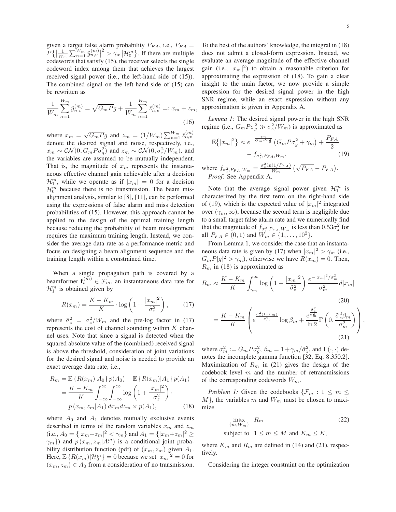given a target false alarm probability  $P_{FA}$ , i.e.,  $P_{FA}$  =  $P\{\left|\frac{1}{W_m}\sum_{n=1}^{W_m} \tilde{y}_{n,v}^{(m)}\right|$  $\frac{2}{m} > \gamma_m H_0^m$ . If there are multiple codewords that satisfy (15), the receiver selects the single codeword index among them that achieves the largest received signal power (i.e., the left-hand side of (15)). The combined signal on the left-hand side of (15) can be rewritten as

$$
\frac{1}{W_m} \sum_{n=1}^{W_m} \tilde{y}_{n,v}^{(m)} = \sqrt{G_m P} g + \frac{1}{W_m} \sum_{n=1}^{W_m} \tilde{z}_{n,v}^{(m)} =: x_m + z_m,
$$
\n(16)

where  $x_m = \sqrt{G_m P}g$  and  $z_m = (1/W_m) \sum_{n=1}^{W_m} \tilde{z}_{n,v}^{(m)}$ denote the desired signal and noise, respectively, i.e.,  $x_m \sim \mathcal{CN}(0, G_m P \sigma_g^2)$  and  $z_m \sim \mathcal{CN}(0, \sigma_z^2/W_m)$ , and the variables are assumed to be mutually independent. That is, the magnitude of  $x_m$  represents the instantaneous effective channel gain achievable after a decision  $\mathcal{H}_1^m$ , while we operate as if  $|x_m| = 0$  for a decision  $\mathcal{H}_0^m$  because there is no transmission. The beam misalignment analysis, similar to [8], [11], can be performed using the expressions of false alarm and miss detection probabilities of (15). However, this approach cannot be applied to the design of the optimal training length because reducing the probability of beam misalignment requires the maximum training length. Instead, we consider the average data rate as a performance metric and focus on designing a beam alignment sequence and the training length within a constrained time.

When a single propagation path is covered by a beamformer  $f_v^{(m)} \in \mathcal{F}_m$ , an instantaneous data rate for  $\mathcal{H}_1^m$  is obtained given by

$$
R(x_m) = \frac{K - K_m}{K} \cdot \log\left(1 + \frac{|x_m|^2}{\tilde{\sigma}_z^2}\right),\qquad(17)
$$

where  $\tilde{\sigma}_z^2 = \sigma_z^2/W_m$  and the pre-log factor in (17) represents the cost of channel sounding within  $K$  channel uses. Note that since a signal is detected when the squared absolute value of the (combined) received signal is above the threshold, consideration of joint variations for the desired signal and noise is needed to provide an exact average data rate, i.e.,

$$
R_m = \mathbb{E}\left\{R(x_m)|A_0\right\}p(A_0) + \mathbb{E}\left\{R(x_m)|A_1\right\}p(A_1)
$$

$$
= \frac{K - K_m}{K} \int_{-\infty}^{\infty} \int_{-\infty}^{\infty} \log\left(1 + \frac{|x_m|^2}{\tilde{\sigma}_z^2}\right).
$$

$$
p(x_m, z_m|A_1) dx_m dz_m \times p(A_1), \qquad (18)
$$

where  $A_0$  and  $A_1$  denotes mutually exclusive events described in terms of the random variables  $x_m$  and  $z_m$ (i.e.,  $A_0 = \{ |x_m + z_m|^2 < \gamma_m \}$  and  $A_1 = \{ |x_m + z_m|^2 \ge$  $\gamma_m$ }) and  $p(x_m, z_m | A_1^m)$  is a conditional joint probability distribution function (pdf) of  $(x_m, z_m)$  given  $A_1$ . Here,  $\mathbb{E}\left\{R(x_m)|\mathcal{H}_0^m\right\}=0$  because we set  $|x_m|^2=0$  for  $(x_m, z_m) \in A_0$  from a consideration of no transmission.

To the best of the authors' knowledge, the integral in (18) does not admit a closed-form expression. Instead, we evaluate an average magnitude of the effective channel gain (i.e.,  $|x_m|^2$ ) to obtain a reasonable criterion for approximating the expression of (18). To gain a clear insight to the main factor, we now provide a simple expression for the desired signal power in the high SNR regime, while an exact expression without any approximation is given in Appendix A.

*Lemma 1:* The desired signal power in the high SNR regime (i.e.,  $G_m P \sigma_g^2 \gg \sigma_z^2 / W_m$ ) is approximated as

$$
\mathbb{E}\{|x_m|^2\} \approx e^{-\frac{\gamma_m}{G_m P \sigma_g^2}} \left(G_m P \sigma_g^2 + \gamma_m\right) + \frac{P_{FA}}{2}
$$

$$
-f_{\sigma_z^2, P_{FA}, W_m}, \tag{19}
$$

where  $f_{\sigma_z^2, P_{FA}, W_m} = \frac{\sigma_z^2 \ln(1/P_{FA})}{W_m}$  $\frac{(1/P_{FA})}{W_m}$   $(\sqrt{P_{FA}} - P_{FA}).$ *Proof:* See Appendix A.

Note that the average signal power given  $\mathcal{H}_1^m$  is characterized by the first term on the right-hand side of (19), which is the expected value of  $|x_m|^2$  integrated over  $(\gamma_m, \infty)$ , because the second term is negligible due to a small target false alarm rate and we numerically find that the magnitude of  $f_{\sigma_z^2, P_{FA}, W_m}$  is less than  $0.53\sigma_z^2$  for all  $P_{FA} \in (0,1)$  and  $W_m \in \{1,\ldots,10^2\}$ .

From Lemma 1, we consider the case that an instantaneous data rate is given by (17) when  $|x_m|^2 > \gamma_m$  (i.e.,  $G_m P|g|^2 > \gamma_m$ , otherwise we have  $R(x_m) = 0$ . Then,  $R_m$  in (18) is approximated as

$$
R_m \approx \frac{K - K_m}{K} \int_{\gamma_m}^{\infty} \log \left( 1 + \frac{|x_m|^2}{\tilde{\sigma}_z^2} \right) \frac{e^{-|x_m|^2/\sigma_m^2}}{\sigma_m^2} d|x_m|
$$
\n
$$
= \frac{K - K_m}{K} \left( e^{\frac{\tilde{\sigma}_z^2 (1 - \beta_m)}{\sigma_m^2}} \log \beta_m + \frac{e^{\frac{\tilde{\sigma}_z^2}{\sigma_m^2}}}{\ln 2} \Gamma \left( 0, \frac{\tilde{\sigma}_z^2 \beta_m}{\sigma_m^2} \right) \right),
$$
\n(21)

where  $\sigma_m^2 := G_m P \sigma_g^2$ ,  $\beta_m = 1 + \gamma_m / \tilde{\sigma}_z^2$ , and  $\Gamma(\cdot, \cdot)$  denotes the incomplete gamma function [32, Eq. 8.350.2]. Maximization of  $R_m$  in (21) gives the design of the codebook level  $m$  and the number of retransmissions of the corresponding codewords  $W_m$ .

*Problem 1:* Given the codebooks  $\{\mathcal{F}_m: 1 \leq m \leq \mathcal{F}_m\}$  $M$ , the variables m and  $W_m$  must be chosen to maximize

$$
\max_{\{m, W_m\}} R_m \tag{22}
$$

subject to  $1 \le m \le M$  and  $K_m \le K$ ,

where  $K_m$  and  $R_m$  are defined in (14) and (21), respectively.

Considering the integer constraint on the optimization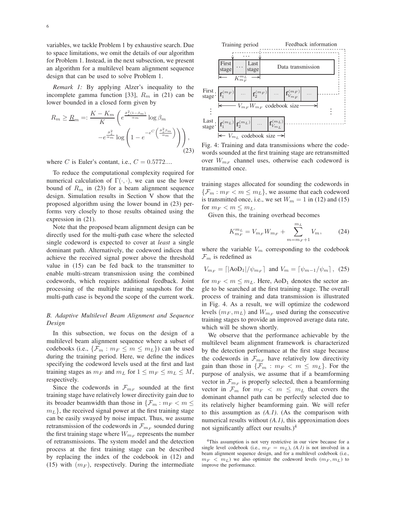variables, we tackle Problem 1 by exhaustive search. Due to space limitations, we omit the details of our algorithm for Problem 1. Instead, in the next subsection, we present an algorithm for a multilevel beam alignment sequence design that can be used to solve Problem 1.

*Remark 1:* By applying Alzer's inequality to the incomplete gamma function [33],  $R_m$  in (21) can be lower bounded in a closed form given by

$$
R_m \geq \underline{R}_m =: \frac{K - K_m}{K} \left( e^{\frac{\tilde{\sigma}_z^2 (1 - \beta_m)}{\alpha_m}} \log \beta_m - e^{\frac{\tilde{\sigma}_z^2}{\alpha_m}} \log \left( 1 - e^{-e^C \left( \frac{\tilde{\sigma}_z^2 \beta_m}{\alpha_m} \right)} \right) \right),
$$
\n(23)

where C is Euler's contant, i.e.,  $C = 0.5772...$ 

To reduce the computational complexity required for numerical calculation of  $\Gamma(\cdot, \cdot)$ , we can use the lower bound of  $R_m$  in (23) for a beam alignment sequence design. Simulation results in Section V show that the proposed algorithm using the lower bound in (23) performs very closely to those results obtained using the expression in (21).

Note that the proposed beam alignment design can be directly used for the multi-path case where the selected single codeword is expected to cover at *least* a single dominant path. Alternatively, the codeword indices that achieve the received signal power above the threshold value in (15) can be fed back to the transmitter to enable multi-stream transmission using the combined codewords, which requires additional feedback. Joint processing of the multiple training snapshots for the multi-path case is beyond the scope of the current work.

# *B. Adaptive Multilevel Beam Alignment and Sequence Design*

In this subsection, we focus on the design of a multilevel beam alignment sequence where a subset of codebooks (i.e.,  $\{\mathcal{F}_m : m_F \leq m \leq m_L\}$ ) can be used during the training period. Here, we define the indices specifying the codeword levels used at the first and last training stages as  $m_F$  and  $m_L$  for  $1 \le m_F \le m_L \le M$ , respectively.

Since the codewords in  $\mathcal{F}_{m_F}$  sounded at the first training stage have relatively lower directivity gain due to its broader beamwidth than those in  $\{\mathcal{F}_m : m_F < m \leq \mathcal{F}_m\}$  $m<sub>L</sub>$ , the received signal power at the first training stage can be easily swayed by noise impact. Thus, we assume retransmission of the codewords in  $\mathcal{F}_{m_F}$  sounded during the first training stage where  $W_{m_F}$  represents the number of retransmissions. The system model and the detection process at the first training stage can be described by replacing the index of the codebook in (12) and (15) with  $(m_F)$ , respectively. During the intermediate



Fig. 4: Training and data transmissions where the codewords sounded at the first training stage are retransmitted over  $W_{m_F}$  channel uses, otherwise each codeword is transmitted once.

training stages allocated for sounding the codewords in  $\{\mathcal{F}_m : m_F < m \le m_L\}$ , we assume that each codeword is transmitted once, i.e., we set  $W_m = 1$  in (12) and (15) for  $m_F < m \leq m_L$ .

Given this, the training overhead becomes

$$
K_{m_F}^{m_L} = V_{m_F} W_{m_F} + \sum_{m=m_F+1}^{m_L} V_m, \qquad (24)
$$

where the variable  $V_m$  corresponding to the codebook  $\mathcal{F}_m$  is redefined as

$$
V_{m_F} = \lceil |\text{AoD}_1| / \psi_{m_F} \rceil \text{ and } V_m = \lceil \psi_{m-1} / \psi_m \rceil, (25)
$$

for  $m_F < m \le m_L$ . Here, AoD<sub>1</sub> denotes the sector angle to be searched at the first training stage. The overall process of training and data transmission is illustrated in Fig. 4. As a result, we will optimize the codeword levels  $(m_F, m_L)$  and  $W_{m_F}$  used during the consecutive training stages to provide an improved average data rate, which will be shown shortly.

We observe that the performance achievable by the multilevel beam alignment framework is characterized by the detection performance at the first stage because the codewords in  $\mathcal{F}_{m_F}$  have relatively low directivity gain than those in  $\{\mathcal{F}_m : m_F < m \leq m_L\}$ . For the purpose of analysis, we assume that if a beamforming vector in  $\mathcal{F}_{m_F}$  is properly selected, then a beamforming vector in  $\mathcal{F}_m$  for  $m_F < m \leq m_L$  that covers the dominant channel path can be perfectly selected due to its relatively higher beamforming gain. We will refer to this assumption as *(A.1)*. (As the comparison with numerical results without *(A.1)*, this approximation does not significantly affect our results.) $4$ 

<sup>4</sup>This assumption is not very restrictive in our view because for a single level codebook (i.e.,  $m_F = m_L$ ), *(A.1)* is not involved in a beam alignment sequence design, and for a multilevel codebook (i.e.,  $m_F < m_L$ ) we also optimize the codeword levels  $(m_F, m_L)$  to improve the performance.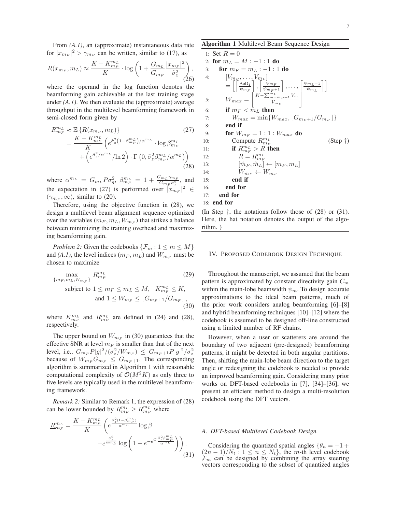From *(A.1)*, an (approximate) instantaneous data rate for  $|x_{m_F}|^2 > \gamma_{m_F}$  can be written, similar to (17), as

$$
R(x_{m_F}, m_L) \approx \frac{K - K_{m_F}^{m_L}}{K} \cdot \log \left( 1 + \frac{G_{m_L}}{G_{m_F}} \frac{|x_{m_F}|^2}{\tilde{\sigma}_z^2} \right),\tag{26}
$$

where the operand in the log function denotes the beamforming gain achievable at the last training stage under *(A.1)*. We then evaluate the (approximate) average throughput in the multilevel beamforming framework in semi-closed form given by

$$
R_{m_F}^{m_L} \approx \mathbb{E}\left\{R(x_{m_F}, m_L)\right\}
$$
\n
$$
= \frac{K - K_{m_F}^{m_L}}{K} \left(e^{\tilde{\sigma}_z^2 \left(1 - \beta_{m_F}^{m_L}\right)/\alpha^{m_L}} \cdot \log \beta_{m_F}^{m_L} + \left(e^{\tilde{\sigma}_z^2/\alpha^{m_L}}/\ln 2\right) \cdot \Gamma\left(0, \tilde{\sigma}_z^2 \beta_{m_F}^{m_L}/\alpha^{m_L}\right)\right)
$$
\n(28)

where  $\alpha^{m_L} = G_{m_L} P \sigma_g^2$ ,  $\beta_{m_F}^{m_L} = 1 + \frac{G_{m_L} \gamma_{m_F}}{G_{m_E} \tilde{\sigma}_z^2}$  $\frac{G_{m_E}G_{m_F}}{G_{m_F}\tilde{\sigma}_z^2}$ , and the expectation in (27) is performed over  $|x_{m_F}|^2 \in$  $(\gamma_{m_F}, \infty)$ , similar to (20).

Therefore, using the objective function in (28), we design a multilevel beam alignment sequence optimized over the variables  $(m_F, m_L, W_{m_F})$  that strikes a balance between minimizing the training overhead and maximizing beamforming gain.

*Problem 2:* Given the codebooks  $\{\mathcal{F}_m: 1 \leq m \leq M\}$ and  $(A, I)$ , the level indices  $(m_F, m_L)$  and  $W_{m_F}$  must be chosen to maximize

$$
\max_{\{m_F, m_L, W_{m_F}\}} R_{m_F}^{m_L}
$$
\n(29)

\nsubject to  $1 \le m_F \le m_L \le M$ ,  $K_{m_F}^{m_L} \le K$ , and  $1 \le W_{m_F} \le \lfloor G_{m_F+1}/G_{m_F} \rfloor$ , (30)

where  $K_{m_F}^{m_L}$  and  $R_{m_F}^{m_L}$  are defined in (24) and (28), respectively.

The upper bound on  $W_{m_F}$  in (30) guarantees that the effective SNR at level  $m_F$  is smaller than that of the next level, i.e.,  $G_{m_F} P |g|^2 / (\sigma_z^2 / W_{m_F}) \leq G_{m_F + 1} P |g|^2 / \sigma_z^2$ because of  $W_{m_F} G_{m_F} \leq G_{m_F+1}$ . The corresponding algorithm is summarized in Algorithm 1 with reasonable computational complexity of  $\mathcal{O}(M^2K)$  as only three to five levels are typically used in the multilevel beamforming framework.

*Remark 2:* Similar to Remark 1, the expression of (28) can be lower bounded by  $R_{m_F}^{m_L} \geq \underline{R}_{m_F}^{m_L}$  where

$$
\underline{R}_{m_F}^{m_L} = \frac{K - K_{m_F}^{m_L}}{K} \left( e^{\frac{\tilde{\sigma}_z^2 (1 - \beta_{m_F}^{m_L})}{\alpha^{m_L}}} \log \beta - e^{\frac{\tilde{\sigma}_z^2}{\alpha^{m_L}}} \log \left( 1 - e^{-e^{C \frac{\tilde{\sigma}_z^2 \beta_{m_F}^{m_L}}{\alpha^{m_L}}}} \right) \right).
$$
\n(31)

Algorithm 1 Multilevel Beam Sequence Design

1: Set R = 0 2: for m<sup>L</sup> = M : −1 : 1 do 3: for m<sup>F</sup> = m<sup>L</sup> : −1 : 1 do 4: [Vm<sup>F</sup> , . . . , Vm<sup>L</sup> ] = hl AoD<sup>1</sup> ψmF m , l ψmF <sup>ψ</sup>mF +1 <sup>m</sup> , . . . , l ψmL−<sup>1</sup> ψmL mi 5: Wmax = K− PmL <sup>m</sup>=mF +1 <sup>V</sup><sup>m</sup> VmF 6: if m<sup>F</sup> < m<sup>L</sup> then 7: Wmax = min{Wmax, ⌊Gm<sup>F</sup> +1/Gm<sup>F</sup> ⌋} 8: end if 9: for Wm<sup>F</sup> = 1 : 1 : Wmax do 10: Compute Rm<sup>L</sup> <sup>m</sup><sup>F</sup> (Step †) 11: if Rm<sup>L</sup> <sup>m</sup><sup>F</sup> > R then 12: R = Rm<sup>L</sup> <sup>m</sup><sup>F</sup> 13: [ ˆm<sup>F</sup> , mˆ <sup>L</sup>] ← [m<sup>F</sup> , mL] 14: Wm<sup>ˆ</sup> <sup>F</sup> ← Wm<sup>F</sup> 15: end if 16: end for 17: end for 18: end for

(In Step  $\dagger$ , the notations follow those of (28) or (31). Here, the hat notation denotes the output of the algorithm. )

#### IV. PROPOSED CODEBOOK DESIGN TECHNIQUE

Throughout the manuscript, we assumed that the beam pattern is approximated by constant directivity gain  $C_m$ within the main-lobe beamwidth  $\psi_m$ . To design accurate approximations to the ideal beam patterns, much of the prior work considers analog beamforming [6]–[8] and hybrid beamforming techniques [10]–[12] where the codebook is assumed to be designed off-line constructed using a limited number of RF chains.

However, when a user or scatterers are around the boundary of two adjacent (pre-designed) beamforming patterns, it might be detected in both angular partitions. Then, shifting the main-lobe beam direction to the target angle or redesigning the codebook is needed to provide an improved beamforming gain. Considering many prior works on DFT-based codebooks in [7], [34]–[36], we present an efficient method to design a multi-resolution codebook using the DFT vectors.

#### *A. DFT-based Multilevel Codebook Design*

Considering the quantized spatial angles  $\{\theta_n = -1 +$  $\left(\frac{2n-1}{N_t}:\frac{1}{n}\leq n\leq N_t\right)$ , the m-th level codebook  $\mathcal{F}_m$  can be designed by combining the array steering vectors corresponding to the subset of quantized angles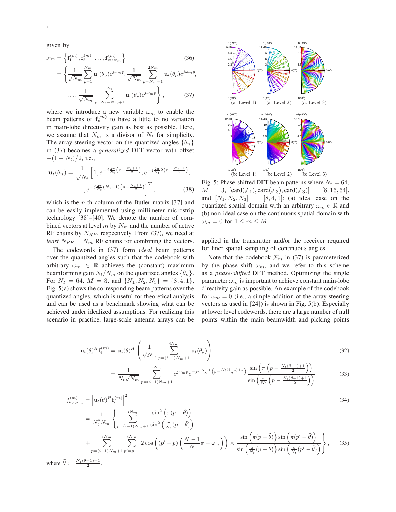given by

$$
\mathcal{F}_m = \left\{ \mathbf{f}_1^{(m)}, \mathbf{f}_2^{(m)}, \dots, \mathbf{f}_{N/N_m}^{(m)} \right\}
$$
\n(36)

$$
= \left\{ \frac{1}{\sqrt{N_m}} \sum_{p=1}^{N_m} \mathbf{u}_t(\theta_p) e^{j\omega_m p}, \frac{1}{\sqrt{N_m}} \sum_{p=N_m+1}^{2N_m} \mathbf{u}_t(\theta_p) e^{j\omega_m p}, \cdots, \frac{1}{\sqrt{N_m}} \sum_{p=N_t-N_m+1}^{N_t} \mathbf{u}_t(\theta_p) e^{j\omega_m p} \right\},
$$
(37)

where we introduce a new variable  $\omega_m$  to enable the beam patterns of  $f_v^{(m)}$  to have a little to no variation in main-lobe directivity gain as best as possible. Here, we assume that  $N_m$  is a divisor of  $N_t$  for simplicity. The array steering vector on the quantized angles  $\{\theta_n\}$ in (37) becomes a *generalized* DFT vector with offset  $-(1 + N_t)/2$ , i.e.,

$$
\mathbf{u}_t(\theta_n) = \frac{1}{\sqrt{N_t}} \left[ 1, e^{-j\frac{2\pi}{N_t} \left( n - \frac{N_t + 1}{2} \right)}, e^{-j\frac{2\pi}{N_t} 2 \left( n - \frac{N_t + 1}{2} \right)}, \dots, e^{-j\frac{2\pi}{N_t} \left( N_t - 1 \right) \left( n - \frac{N_t + 1}{2} \right)} \right]^T,
$$
(38)

which is the *n*-th column of the Butler matrix  $[37]$  and can be easily implemented using millimeter microstrip technology [38]–[40]. We denote the number of combined vectors at level  $m$  by  $N_m$  and the number of active RF chains by  $N_{RF}$ , respectively. From (37), we need at *least*  $N_{RF} = N_m$  RF chains for combining the vectors.

The codewords in (37) form *ideal* beam patterns over the quantized angles such that the codebook with arbitrary  $\omega_m \in \mathbb{R}$  achieves the (constant) maximum beamforming gain  $N_t/N_m$  on the quantized angles  $\{\theta_n\}.$ For  $N_t = 64$ ,  $M = 3$ , and  $\{N_1, N_2, N_3\} = \{8, 4, 1\}$ , Fig. 5(a) shows the corresponding beam patterns over the quantized angles, which is useful for theoretical analysis and can be used as a benchmark showing what can be achieved under idealized assumptions. For realizing this scenario in practice, large-scale antenna arrays can be



Fig. 5: Phase-shifted DFT beam patterns where  $N_t = 64$ ,  $M = 3$ ,  $[\text{card}(\mathcal{F}_1), \text{card}(\mathcal{F}_3), \text{card}(\mathcal{F}_3)] = [8, 16, 64]$ , and  $[N_1, N_2, N_3] = [8, 4, 1]$ : (a) ideal case on the quantized spatial domain with an arbitrary  $\omega_m \in \mathbb{R}$  and (b) non-ideal case on the continuous spatial domain with  $\omega_m = 0$  for  $1 \leq m \leq M$ .

applied in the transmitter and/or the receiver required for finer spatial sampling of continuous angles.

Note that the codebook  $\mathcal{F}_m$  in (37) is parameterized by the phase shift  $\omega_m$ , and we refer to this scheme as a *phase-shifted* DFT method. Optimizing the single parameter  $\omega_m$  is important to achieve constant main-lobe directivity gain as possible. An example of the codebook for  $\omega_m = 0$  (i.e., a simple addition of the array steering vectors as used in [24]) is shown in Fig. 5(b). Especially at lower level codewords, there are a large number of null points within the main beamwidth and picking points

$$
\mathbf{u}_{t}(\theta)^{H} \mathbf{f}_{i}^{(m)} = \mathbf{u}_{t}(\theta)^{H} \left( \frac{1}{\sqrt{N_{m}}} \sum_{p=(i-1)N_{m}+1}^{i N_{m}} \mathbf{u}_{t}(\theta_{p}) \right)
$$
(32)

$$
= \frac{1}{N_t\sqrt{N_m}} \sum_{p=(i-1)N_m+1}^{iN_m} e^{j\omega_m p} e^{-j\pi \frac{N-1}{N} \left(p - \frac{N_t(\theta+1)+1}{2}\right)} \frac{\sin\left(\pi \left(p - \frac{N_t(\theta+1)+1}{2}\right)\right)}{\sin\left(\frac{\pi}{N_t}\left(p - \frac{N_t(\theta+1)+1}{2}\right)\right)}
$$
(33)

$$
f_{\theta,i,\omega_m}^{(m)} = \left| \mathbf{u}_t(\theta)^H \mathbf{f}_i^{(m)} \right|^2
$$
  
1 
$$
\left| \begin{array}{cc} iN_m & \sin^2\left(\pi(p-\tilde{\theta})\right) \end{array} \right|
$$
 (34)

$$
= \frac{1}{N_t^2 N_m} \left\{ \sum_{p=(i-1)N_m+1}^{iN_m} \frac{\sin^2\left(\pi(p-\theta)\right)}{\sin^2\left(\frac{\pi}{N_t}(p-\tilde{\theta})\right)} \right\}
$$
  
+ 
$$
\sum_{p=(i-1)N_m+1}^{iN_m} \sum_{p'=p+1}^{iN_m} 2 \cos\left((p'-p)\left(\frac{N-1}{N}\pi-\omega_m\right)\right) \times \frac{\sin\left(\pi(p-\tilde{\theta})\right) \sin\left(\pi(p'-\tilde{\theta})\right)}{\sin\left(\frac{\pi}{N_t}(p-\tilde{\theta})\right) \sin\left(\frac{\pi}{N_t}(p'-\tilde{\theta})\right)} \right\}, \quad (35)
$$

where  $\tilde{\theta} := \frac{N_t(\theta+1)+1}{2}$ .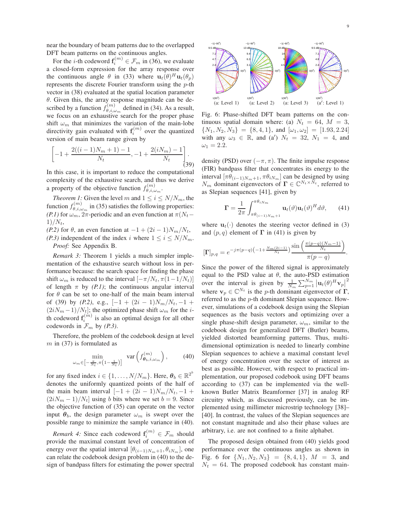near the boundary of beam patterns due to the overlapped DFT beam patterns on the continuous angles.

For the *i*-th codeword  $f_i^{(m)} \in \mathcal{F}_m$  in (36), we evaluate a closed-form expression for the array response over the continuous angle  $\theta$  in (33) where  $\mathbf{u}_t(\theta)^H \mathbf{u}_t(\theta_p)$ represents the discrete Fourier transform using the p-th vector in (38) evaluated at the spatial location parameter  $\theta$ . Given this, the array response magnitude can be described by a function  $f_{\theta,i,\omega}^{(m)}$  $\theta_{\theta,i,\omega_m}^{(m)}$  defined in (34). As a result, we focus on an exhaustive search for the proper phase shift  $\omega_m$  that minimizes the variation of the main-lobe directivity gain evaluated with  $f_i^{(m)}$  over the quantized version of main beam range given by

$$
\left[-1+\frac{2((i-1)N_m+1)-1}{N_t},-1+\frac{2(iN_m)-1}{N_t}\right].
$$
\n(39)

In this case, it is important to reduce the computational complexity of the exhaustive search, and thus we derive a property of the objective function  $f_{\theta,i}^{(m)}$  $\overset{(m)}{\theta, i, \omega_m}$ .

*Theorem 1:* Given the level m and  $1 \le i \le N/N_m$ , the function  $f_{\theta,i,\omega}^{(m)}$  $\theta_{\theta,i,\omega_m}^{(m)}$  in (35) satisfies the following properties: *(P.1)* for  $\omega_m$ ,  $2\pi$ -periodic and an even function at  $\pi(N_t-\mathcal{O})$  $1)/N_t$ ,

*(P.2)* for  $\theta$ , an even function at  $-1 + (2i - 1)N_m/N_t$ , *(P.3)* independent of the index i where  $1 \le i \le N/N_m$ . *Proof:* See Appendix B.

*Remark 3:* Theorem 1 yields a much simpler implementation of the exhaustive search without loss in performance because: the search space for finding the phase shift  $\omega_m$  is reduced to the interval  $[-\pi/N_t, \pi(1-1/N_t)]$ of length  $\pi$  by *(P.1)*; the continuous angular interval for  $\theta$  can be set to one-half of the main beam interval of (39) by  $(P.2)$ , e.g.,  $[-1 + (2i - 1)N_m/N_t, -1 +$  $(2iN_m-1)/N_t$ ; the optimized phase shift  $\omega_m$  for the *i*th codeword  $f_i^{(m)}$  is also an optimal design for all other codewords in  $\mathcal{F}_m$  by *(P.3)*.

Therefore, the problem of the codebook design at level  $m$  in (37) is formulated as

$$
\min_{\omega_m \in \left[-\frac{\pi}{N_t}, \pi\left(1 - \frac{1}{N_t}\right)\right]} \quad \text{var}\left(f_{\theta_b, i, \omega_m}^{(m)}\right), \tag{40}
$$

for any fixed index  $i \in \{1, ..., N/N_m\}$ . Here,  $\boldsymbol{\theta}_b \in \mathbb{R}^{2^b}$ denotes the uniformly quantized points of the half of the main beam interval  $[-1 + (2i - 1)N_m/N_t, -1]$  $(2iN_m - 1)/N_t$  using b bits where we set  $b = 9$ . Since the objective function of (35) can operate on the vector input  $\theta_b$ , the design parameter  $\omega_m$  is swept over the possible range to minimize the sample variance in (40).

*Remark 4:* Since each codeword  $f_i^{(m)} \in \mathcal{F}_m$  should provide the maximal constant level of concentration of energy over the spatial interval  $[\theta_{(i-1)N_m+1}, \theta_{iN_m}]$ , one can relate the codebook design problem in (40) to the design of bandpass filters for estimating the power spectral



Fig. 6: Phase-shifted DFT beam patterns on the continuous spatial domain where: (a)  $N_t = 64$ ,  $M = 3$ ,  $\{N_1, N_2, N_3\} = \{8, 4, 1\}, \text{ and } [\omega_1, \omega_2] = [1.93, 2.24]$ with any  $\omega_3 \in \mathbb{R}$ , and  $(a')$   $N_t = 32$ ,  $N_1 = 4$ , and  $\omega_1 = 2.2.$ 

density (PSD) over  $(-\pi, \pi)$ . The finite impulse response (FIR) bandpass filter that concentrates its energy to the interval  $[\pi \theta_{(i-1)N_m+1}, \pi \theta_{iN_m}]$  can be designed by using  $N_m$  dominant eigenvectors of  $\mathbf{\Gamma} \in \mathbb{C}^{N_t \times N_t}$ , referred to as Slepian sequences [41], given by

$$
\mathbf{\Gamma} = \frac{1}{2\pi} \int_{\pi\theta_{(i-1)N_m+1}}^{\pi\theta_{iN_m}} \mathbf{u}_t(\vartheta) \mathbf{u}_t(\vartheta)^H d\vartheta, \qquad (41)
$$

where  $\mathbf{u}_t(\cdot)$  denotes the steering vector defined in (3) and  $(p, q)$  element of  $\Gamma$  in (41) is given by

$$
[\Gamma]_{p,q} = e^{-j\pi(p-q)\left(-1 + \frac{N_m(2i-1)}{N_t}\right)} \frac{\sin\left(\frac{\pi(p-q)(N_m-1)}{N_t}\right)}{\pi(p-q)}.
$$

Since the power of the filtered signal is approximately equal to the PSD value at  $\theta$ , the auto-PSD estimation over the interval is given by  $\frac{1}{N_m} \sum_{p=1}^{N_m} |\mathbf{u}_t(\theta)^H \mathbf{v}_p|$ 2 where  $\mathbf{v}_p \in \mathbb{C}^{N_t}$  is the *p*-th dominant eigenvector of  $\Gamma$ , referred to as the p-th dominant Slepian sequence. However, simulations of a codebook design using the Slepian sequences as the basis vectors and optimizing over a single phase-shift design parameter,  $\omega_m$ , similar to the codebook design for generalized DFT (Butler) beams, yielded distorted beamforming patterns. Thus, multidimensional optimization is needed to linearly combine Slepian sequences to achieve a maximal constant level of energy concentration over the sector of interest as best as possible. However, with respect to practical implementation, our proposed codebook using DFT beams according to (37) can be implemented via the wellknown Butler Matrix Beamformer [37] in analog RF circuitry which, as discussed previously, can be implemented using millimeter microstrip technology [38]– [40]. In contrast, the values of the Slepian sequences are not constant magnitude and also their phase values are arbitrary, i.e. are not confined to a finite alphabet.

The proposed design obtained from (40) yields good performance over the continuous angles as shown in Fig. 6 for  $\{N_1, N_2, N_3\} = \{8, 4, 1\}$ ,  $M = 3$ , and  $N_t = 64$ . The proposed codebook has constant main-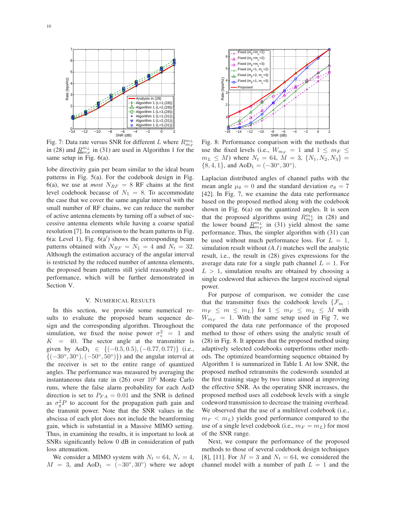

Fig. 7: Data rate versus SNR for different L where  $R_{m_E}^{m_L}$ in (28) and  $\underline{R}_{m_F}^{m_L}$  in (31) are used in Algorithm 1 for the same setup in Fig.  $6(a)$ .

lobe directivity gain per beam similar to the ideal beam patterns in Fig. 5(a). For the codebook design in Fig. 6(a), we use at *most*  $N_{RF} = 8$  RF chains at the first level codebook because of  $N_1 = 8$ . To accommodate the case that we cover the same angular interval with the small number of RF chains, we can reduce the number of active antenna elements by turning off a subset of successive antenna elements while having a coarse spatial resolution [7]. In comparison to the beam patterns in Fig. 6(a: Level 1), Fig. 6(a′ ) shows the corresponding beam patterns obtained with  $N_{RF} = N_1 = 4$  and  $N_t = 32$ . Although the estimation accuracy of the angular interval is restricted by the reduced number of antenna elements, the proposed beam patterns still yield reasonably good performance, which will be further demonstrated in Section V.

#### V. NUMERICAL RESULTS

In this section, we provide some numerical results to evaluate the proposed beam sequence design and the corresponding algorithm. Throughout the simulation, we fixed the noise power  $\sigma_z^2 = 1$  and  $K = 40$ . The sector angle at the transmitter is given by  $AoD<sub>1</sub> \in \{(-0.5, 0.5), (-0.77, 0.77)\}$  (i.e.,  ${(-30^{\circ}, 30^{\circ}), (-50^{\circ}, 50^{\circ})}$  and the angular interval at the receiver is set to the entire range of quantized angles. The performance was measured by averaging the instantaneous data rate in (26) over 10<sup>6</sup> Monte Carlo runs, where the false alarm probability for each AoD direction is set to  $P_{FA} = 0.01$  and the SNR is defined as  $\sigma_g^2 P$  to account for the propagation path gain and the transmit power. Note that the SNR values in the abscissa of each plot does not include the beamforming gain, which is substantial in a Massive MIMO setting. Thus, in examining the results, it is important to look at SNRs significantly below 0 dB in consideration of path loss attenuation.

We consider a MIMO system with  $N_t = 64$ ,  $N_r = 4$ ,  $M = 3$ , and  $AoD<sub>1</sub> = (-30<sup>°</sup>, 30<sup>°</sup>)$  where we adopt



Fig. 8: Performance comparison with the methods that use the fixed levels (i.e.,  $W_{m_F} = 1$  and  $1 \leq m_F \leq$  $m_L \leq M$ ) where  $N_t = 64$ ,  $M = 3$ ,  $\{N_1, N_2, N_3\} =$  $\{8, 4, 1\}$ , and  $AoD<sub>1</sub> = (-30°, 30°)$ .

Laplacian distributed angles of channel paths with the mean angle  $\mu_{\theta} = 0$  and the standard deviation  $\sigma_{\theta} = 7$ [42]. In Fig. 7, we examine the data rate performance based on the proposed method along with the codebook shown in Fig. 6(a) on the quantized angles. It is seen that the proposed algorithms using  $R_{m_F}^{m_L}$  in (28) and the lower bound  $\underline{R}_{m_F}^{m_L}$  in (31) yield almost the same performance. Thus, the simpler algorithm with (31) can be used without much performance loss. For  $L = 1$ , simulation result without *(A.1)* matches well the analytic result, i.e., the result in (28) gives expressions for the average data rate for a single path channel  $L = 1$ . For  $L > 1$ , simulation results are obtained by choosing a single codeword that achieves the largest received signal power.

For purpose of comparison, we consider the case that the transmitter fixes the codebook levels  $\{\mathcal{F}_m\}$ :  $m_F \leq m \leq m_L$ } for  $1 \leq m_F \leq m_L \leq M$  with  $W_{mF}$  = 1. With the same setup used in Fig 7, we compared the data rate performance of the proposed method to those of others using the analytic result of (28) in Fig. 8. It appears that the proposed method using adaptively selected codebooks outperforms other methods. The optimized beamforming sequence obtained by Algorithm 1 is summarized in Table I. At low SNR, the proposed method retransmits the codewords sounded at the first training stage by two times aimed at improving the effective SNR. As the operating SNR increases, the proposed method uses all codebook levels with a single codeword transmission to decrease the training overhead. We observed that the use of a multilevel codebook (i.e.,  $m_F < m_L$ ) yields good performance compared to the use of a single level codebook (i.e.,  $m_F = m_L$ ) for most of the SNR range.

Next, we compare the performance of the proposed methods to those of several codebook design techniques [8], [11]. For  $M = 3$  and  $N_t = 64$ , we considered the channel model with a number of path  $L = 1$  and the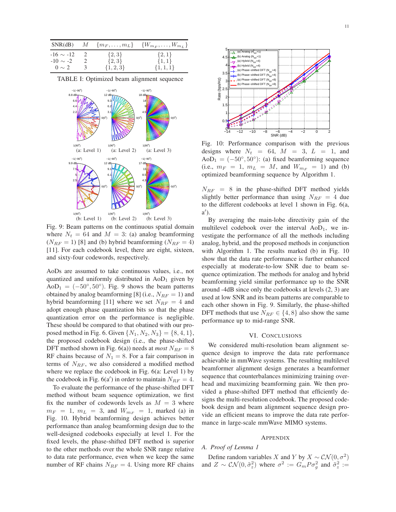|                |               |               | SNR(dB) $M \{m_F, \ldots, m_L\} \{W_{m_F}, \ldots, W_{m_L}\}\$ |
|----------------|---------------|---------------|----------------------------------------------------------------|
| $-16 \sim -12$ | - 2           | $\{2,3\}$     | $\{2,1\}$                                                      |
| $-10 \sim -2$  |               | $\{2,3\}$     | $\{1,1\}$                                                      |
| $0 \sim 2$     | $\mathcal{F}$ | $\{1, 2, 3\}$ | $\{1,1,1\}$                                                    |

TABLE I: Optimized beam alignment sequence



Fig. 9: Beam patterns on the continuous spatial domain where  $N_t = 64$  and  $M = 3$ : (a) analog beamforming  $(N_{RF} = 1)$  [8] and (b) hybrid beamforming  $(N_{RF} = 4)$ [11]. For each codebook level, there are eight, sixteen, and sixty-four codewords, respectively.

AoDs are assumed to take continuous values, i.e., not quantized and uniformly distributed in  $AoD<sub>1</sub>$  given by  $AoD<sub>1</sub> = (-50<sup>°</sup>, 50<sup>°</sup>)$ . Fig. 9 shows the beam patterns obtained by analog beamforming [8] (i.e.,  $N_{RF} = 1$ ) and hybrid beamforming [11] where we set  $N_{RF} = 4$  and adopt enough phase quantization bits so that the phase quantization error on the performance is negligible. These should be compared to that obatined with our proposed method in Fig. 6. Given  $\{N_1, N_2, N_3\} = \{8, 4, 1\}$ , the proposed codebook design (i.e., the phase-shifted DFT method shown in Fig.  $6(a)$ ) needs at *most*  $N_{RF} = 8$ RF chains because of  $N_1 = 8$ . For a fair comparison in terms of  $N_{RF}$ , we also considered a modified method where we replace the codebook in Fig. 6(a: Level 1) by the codebook in Fig.  $6(a')$  in order to maintain  $N_{RF} = 4$ .

To evaluate the performance of the phase-shifted DFT method without beam sequence optimization, we first fix the number of codewords levels as  $M = 3$  where  $m_F = 1$ ,  $m_L = 3$ , and  $W_{m_F} = 1$ , marked (a) in Fig. 10. Hybrid beamforming design achieves better performance than analog beamforming design due to the well-designed codebooks especially at level 1. For the fixed levels, the phase-shifted DFT method is superior to the other methods over the whole SNR range relative to data rate performance, even when we keep the same number of RF chains  $N_{RF} = 4$ . Using more RF chains



Fig. 10: Performance comparison with the previous designs where  $N_t = 64$ ,  $M = 3$ ,  $L = 1$ , and  $AoD<sub>1</sub> = (-50<sup>°</sup>, 50<sup>°</sup>)$ : (a) fixed beamforming sequence (i.e.,  $m_F = 1$ ,  $m_L = M$ , and  $W_{m_F} = 1$ ) and (b) optimized beamforming sequence by Algorithm 1.

 $N_{RF}$  = 8 in the phase-shifted DFT method yields slightly better performance than using  $N_{RF} = 4$  due to the different codebooks at level 1 shown in Fig. 6(a, a ′ ).

By averaging the main-lobe directivity gain of the multilevel codebook over the interval  $AoD<sub>1</sub>$ , we investigate the performance of all the methods including analog, hybrid, and the proposed methods in conjunction with Algorithm 1. The results marked (b) in Fig. 10 show that the data rate performance is further enhanced especially at moderate-to-low SNR due to beam sequence optimization. The methods for analog and hybrid beamforming yield similar performance up to the SNR around -4dB since only the codebooks at levels (2, 3) are used at low SNR and its beam patterns are comparable to each other shown in Fig. 9. Similarly, the phase-shifted DFT methods that use  $N_{RF} \in \{4, 8\}$  also show the same performance up to mid-range SNR.

#### VI. CONCLUSIONS

We considered multi-resolution beam alignment sequence design to improve the data rate performance achievable in mmWave systems. The resulting multilevel beamformer alignment design generates a beamformer sequence that counterbalances minimizing training overhead and maximizing beamforming gain. We then provided a phase-shifted DFT method that efficiently designs the multi-resolution codebook. The proposed codebook design and beam alignment sequence design provide an efficient means to improve the data rate performance in large-scale mmWave MIMO systems.

#### APPENDIX

#### *A. Proof of Lemma 1*

Define random variables X and Y by  $X \sim \mathcal{CN}(0, \sigma^2)$ and  $Z \sim \mathcal{CN}(0, \tilde{\sigma}_z^2)$  where  $\sigma^2 := G_m P \sigma_g^2$  and  $\tilde{\sigma}_z^2 :=$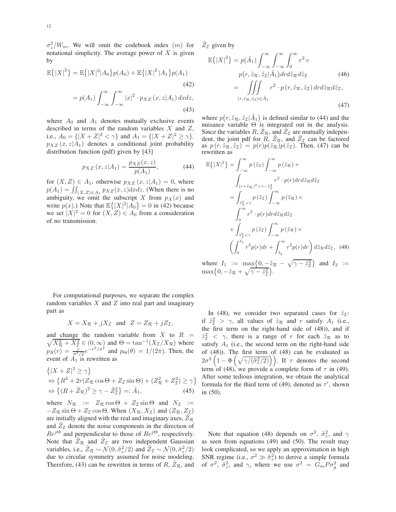$\sigma_z^2/W_m$ . We will omit the codebook index  $(m)$  for notational simplicity. The average power of  $X$  is given by

$$
\mathbb{E}\{|X|^2\} = \mathbb{E}\{|X|^2|A_0\}p(A_0) + \mathbb{E}\{|X|^2|A_1\}p(A_1)
$$
\n(42)\n
$$
= p(A_1) \int_{-\infty}^{\infty} \int_{-\infty}^{\infty} |x|^2 \cdot p_{XZ}(x, z|A_1) \, dx \, dz,
$$

 $-\infty$   $\checkmark$   $-\infty$ 

(43)

where  $A_0$  and  $A_1$  denotes mutually exclusive events described in terms of the random variables  $X$  and  $Z$ , i.e.,  $A_0 = \{ |X + Z|^2 < \gamma \}$  and  $A_1 = \{ |X + Z|^2 \ge \gamma \}.$  $p_{XZ}(x, z|A_1)$  denotes a conditional joint probability distribution function (pdf) given by [43]

$$
p_{XZ}(x, z|A_1) = \frac{p_{XZ}(x, z)}{p(A_1)},
$$
\n(44)

for  $(X, Z) \in A_1$ , otherwise  $p_{XZ}(x, z|A_1) = 0$ , where  $p(A_1) = \iint_{(X,Z)\in A_1} p_{XZ}(x, z)dxdz$ . (When there is no ambiguity, we omit the subscript X from  $p_X(x)$  and write  $p(x)$ .) Note that  $\mathbb{E}\left\{ |X|^2 | A_0 \right\} = 0$  in (42) because we set  $|X|^2 = 0$  for  $(X, Z) \in A_0$  from a consideration of no transmission.

For computational purposes, we separate the complex random variables  $X$  and  $Z$  into real part and imaginary part as

$$
X = X_{\mathcal{R}} + jX_{\mathcal{I}} \text{ and } Z = Z_{\mathcal{R}} + jZ_{\mathcal{I}},
$$

and change the random variable from X to  $R =$  $\sqrt{X_{\mathcal{R}}^2 + X_{\mathcal{I}}^2} \in (0, \infty)$  and  $\Theta = \tan^{-1}(X_{\mathcal{I}}/X_{\mathcal{R}})$  where  $p_R(r) = \frac{r}{\sigma^2/2} e^{-r^2/\sigma^2}$  and  $p_\Theta(\theta) = 1/(2\pi)$ . Then, the event of  $A_1$  is rewritten as

$$
\{ |X + Z|^2 \ge \gamma \}
$$
  
\n
$$
\Leftrightarrow \{ R^2 + 2r(Z_R \cos \Theta + Z_\mathcal{I} \sin \Theta) + (Z_R^2 + Z_\mathcal{I}^2) \ge \gamma \}
$$
  
\n
$$
\Leftrightarrow \{ (R + \tilde{Z}_R)^2 \ge \gamma - \tilde{Z}_\mathcal{I}^2 \} =: \tilde{A}_1,
$$
\n(45)

where  $N_{\mathcal{R}}$  :=  $Z_{\mathcal{R}} \cos \Theta + Z_{\mathcal{I}} \sin \Theta$  and  $N_{\mathcal{I}}$  :=  $-Z_R \sin \Theta + Z_I \cos \Theta$ . When  $(X_R, X_I)$  and  $(Z_R, Z_I)$ are initially aligned with the real and imaginary axes,  $Z_{\mathcal{R}}$ and  $\tilde{Z}_{\mathcal{I}}$  denote the noise components in the direction of  $Re^{j\Theta}$  and perpendicular to those of  $Re^{j\Theta}$ , respectively. Note that  $\tilde{Z}_{\mathcal{R}}$  and  $\tilde{Z}_{\mathcal{I}}$  are two independent Gaussian variables, i.e.,  $\tilde{Z}_R \sim \mathcal{N}(0, \tilde{\sigma}_z^2/2)$  and  $\tilde{Z}_I \sim \mathcal{N}(0, \tilde{\sigma}_z^2/2)$ due to circular symmetry assumed for noise modeling. Therefore, (43) can be rewritten in terms of  $R$ ,  $Z_R$ , and  $\tilde{Z}_{\mathcal{I}}$  given by

$$
\mathbb{E}\{|X|^{2}\} = p(\tilde{A}_{1}) \int_{-\infty}^{\infty} \int_{-\infty}^{\infty} \int_{0}^{\infty} r^{2} \times p(r, \tilde{z}_{R}, \tilde{z}_{I}|\tilde{A}_{1}) dr d\tilde{z}_{R} d\tilde{z}_{I}
$$
\n
$$
= \iiint_{(r, \tilde{z}_{R}, \tilde{z}_{I}) \in \tilde{A}_{1}} r^{2} \cdot p(r, \tilde{z}_{R}, \tilde{z}_{I}) dr d\tilde{z}_{R} d\tilde{z}_{I},
$$
\n(46)\n(47)

where  $p(r, \tilde{z}_R, \tilde{z}_I | \tilde{A}_1)$  is defined similar to (44) and the nuisance variable  $\Theta$  is integrated out in the analysis. Since the variables  $R$ ,  $\tilde{Z}_R$ , and  $\tilde{Z}_I$  are mutually independent, the joint pdf for  $R, \tilde{Z}_R$ , and  $\tilde{Z}_I$  can be factored as  $p(r, \tilde{z}_R, \tilde{z}_I) = p(r)p(\tilde{z}_R)p(\tilde{z}_I)$ . Then, (47) can be rewritten as

$$
\mathbb{E}\{|X|^{2}\} = \int_{-\infty}^{\infty} p(\tilde{z}_{\mathcal{I}}) \int_{-\infty}^{\infty} p(\tilde{z}_{\mathcal{R}}) \times
$$

$$
\int_{(r+\tilde{z}_{\mathcal{R}})^{2} > \gamma - \tilde{z}_{\mathcal{I}}^{2}} r^{2} \cdot p(r) dr d\tilde{z}_{\mathcal{R}} d\tilde{z}_{\mathcal{I}}
$$

$$
= \int_{\tilde{z}_{\mathcal{I}}^{2} > \gamma} p(\tilde{z}_{\mathcal{I}}) \int_{-\infty}^{\infty} p(\tilde{z}_{\mathcal{R}}) \times
$$

$$
\int_{0}^{\infty} r^{2} \cdot p(r) dr d\tilde{z}_{\mathcal{R}} d\tilde{z}_{\mathcal{I}}
$$

$$
+ \int_{\tilde{z}_{\mathcal{I}}^{2} < \gamma} p(\tilde{z}_{\mathcal{I}}) \int_{-\infty}^{\infty} p(\tilde{z}_{\mathcal{R}}) \times
$$

$$
\left(\int_{0}^{I_{1}} r^{2} p(r) dr + \int_{I_{2}}^{\infty} r^{2} p(r) dr\right) d\tilde{z}_{\mathcal{R}} d\tilde{z}_{\mathcal{I}}, \quad (48)
$$

where  $I_1 := \max\{0, -\tilde{z}_R - \sqrt{\gamma - \tilde{z}_I^2}\}$  $\left\{\begin{array}{c}\frac{2}{L}\end{array}\right\}$  and  $I_2 :=$  $\max\bigl\{0, -\tilde{z}_R + \sqrt{\gamma - \tilde{z}_\mathcal{I}^2}\bigr\}$  $\frac{2}{\mathcal{I}}\}$ .

In (48), we consider two separated cases for  $\tilde{z}_I$ : if  $\tilde{z}_\tau^2 > \gamma$ , all values of  $\tilde{z}_\tau$  and r satisfy  $A_1$  (i.e., the first term on the right-hand side of (48)), and if  $\tilde{z}_{\tau}^2$  <  $\gamma$ , there is a range of r for each  $\tilde{z}_{\tau}$  as to satisfy  $A_1$  (i.e., the second term on the right-hand side of (48)). The first term of (48) can be evaluated as  $2\sigma^2\left(1-\Phi\left(\sqrt{\gamma/(\tilde{\sigma}_z^2/2)}\right)\right)$ . If  $\tau$  denotes the second term of (48), we provide a complete form of  $\tau$  in (49). After some tedious integration, we obtain the analytical formula for the third term of (49), denoted as  $\tau'$ , shown in (50).

Note that equation (48) depends on  $\sigma^2$ ,  $\tilde{\sigma}_z^2$ , and  $\gamma$ as seen from equations (49) and (50). The result may look complicated, so we apply an approximation in high SNR regime (i.e.,  $\sigma^2 \gg \tilde{\sigma}_z^2$ ) to derive a simple formula of  $\sigma^2$ ,  $\tilde{\sigma}_z^2$ , and  $\gamma$ , where we use  $\sigma^2 = G_m P \sigma_g^2$  and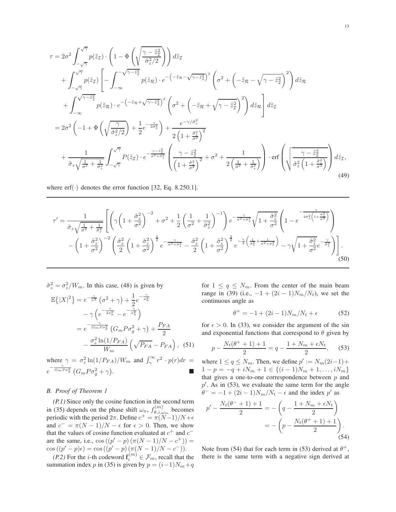$$
\tau = 2\sigma^2 \int_{-\sqrt{7}}^{\sqrt{7}} p(\tilde{z}_{\mathcal{I}}) \cdot \left(1 - \Phi\left(\sqrt{\frac{\gamma - \tilde{z}_{\mathcal{I}}^2}{\tilde{\sigma}_{\mathcal{I}}^2/2}}\right)\right) d\tilde{z}_{\mathcal{I}} \n+ \int_{-\sqrt{7}}^{\sqrt{7}} p(\tilde{z}_{\mathcal{I}}) \left[-\int_{-\infty}^{\sqrt{\gamma - \tilde{z}_{\mathcal{I}}^2}} p(\tilde{z}_{\mathcal{R}}) \cdot e^{-\left(-\tilde{z}_{\mathcal{R}} - \sqrt{\gamma - \tilde{z}_{\mathcal{I}}^2}\right)^2} \left(\sigma^2 + \left(-\tilde{z}_{\mathcal{R}} - \sqrt{\gamma - \tilde{z}_{\mathcal{I}}^2}\right)^2\right) d\tilde{z}_{\mathcal{R}} \n+ \int_{-\infty}^{\sqrt{\gamma - \tilde{z}_{\mathcal{I}}^2}} p(\tilde{z}_{\mathcal{R}}) \cdot e^{-\left(-\tilde{z}_{\mathcal{R}} + \sqrt{\gamma - \tilde{z}_{\mathcal{I}}^2}\right)^2} \left(\sigma^2 + \left(-\tilde{z}_{\mathcal{R}} + \sqrt{\gamma - \tilde{z}_{\mathcal{I}}^2}\right)^2\right) d\tilde{z}_{\mathcal{R}}\right] d\tilde{z}_{\mathcal{I}} \n= 2\sigma^2 \left(-1 + \Phi\left(\sqrt{\frac{\gamma}{\tilde{\sigma}_{\mathcal{I}}^2/2}}\right) + \frac{1}{2} e^{-\frac{\gamma}{2\tilde{\sigma}_{\mathcal{I}}^2}}\right) + \frac{e^{-\gamma/\tilde{\sigma}_{z}^2}}{2\left(1 + \frac{\tilde{\sigma}_{z}^2}{\tilde{\sigma}^2}\right)^2} \n+ \frac{1}{\tilde{\sigma}_{z}\sqrt{\frac{1}{\sigma^2} + \frac{1}{\tilde{\sigma}_{z}^2}}}\int_{-\sqrt{7}}^{\sqrt{7}} P(\tilde{z}_{\mathcal{I}}) \cdot e^{-\frac{\gamma - \tilde{z}_{\mathcal{I}}^2}{\sigma^2 + \tilde{\sigma}_{\mathcal{I}}^2}} \left(\frac{\gamma - \tilde{z}_{\mathcal{I}}^2}{\left(1 + \frac{\tilde{\sigma}_{z}^2}{\tilde{\sigma}^2}\right)^
$$

where  $erf(\cdot)$  denotes the error function [32, Eq. 8.250.1].

$$
\tau' = \frac{1}{\tilde{\sigma}_z \sqrt{\frac{1}{\sigma^2} + \frac{1}{\tilde{\sigma}_z^2}}}\left[ \left( \gamma \left( 1 + \frac{\tilde{\sigma}_z^2}{\sigma^2} \right)^{-2} + \sigma^2 + \frac{1}{2} \left( \frac{1}{\sigma^2} + \frac{1}{\tilde{\sigma}_z^2} \right)^{-1} \right) e^{-\frac{\gamma}{\sigma^2 + \tilde{\sigma}_z^2}} \sqrt{1 + \frac{\tilde{\sigma}_z^2}{\sigma^2}} \left( 1 - e^{-\frac{\gamma}{2\tilde{\sigma}_z^2 \left( 1 + \frac{\tilde{\sigma}_z^2}{\sigma^2} \right)}} \right) \right]
$$

$$
- \left( 1 + \frac{\tilde{\sigma}_z^2}{\sigma^2} \right)^{-2} \left( \frac{\tilde{\sigma}_z^2}{2} \left( 1 + \frac{\tilde{\sigma}_z^2}{\sigma^2} \right)^{\frac{3}{2}} e^{-\frac{\gamma}{\sigma^2 + \tilde{\sigma}_z^2}} - \frac{\tilde{\sigma}_z^2}{2} \left( 1 + \frac{\tilde{\sigma}_z^2}{\sigma^2} \right)^{\frac{3}{2}} e^{-\frac{\gamma}{2} \left( \frac{1}{\tilde{\sigma}_z^2} + \frac{1}{\sigma^2 + \tilde{\sigma}_z^2} \right)} - \gamma \sqrt{1 + \frac{\tilde{\sigma}_z^2}{\sigma^2}} e^{-\frac{\gamma}{\tilde{\sigma}_z^2}} \right) \right].
$$
\n(50)

$$
\tilde{\sigma}_z^2 = \sigma_z^2 / W_m.
$$
 In this case, (48) is given by  
\n
$$
\mathbb{E}\{|X|^2\} = e^{-\frac{\gamma}{\sigma_z^2}} (\sigma^2 + \gamma) + \frac{1}{2} e^{-\frac{\gamma}{\sigma_n^2}}
$$
\n
$$
- \gamma \left( e^{-\frac{\gamma}{2\sigma_n^2}} - e^{-\frac{\gamma}{\sigma_n^2}} \right)
$$
\n
$$
= e^{-\frac{\gamma}{G_m P \sigma_g^2}} (G_m P \sigma_g^2 + \gamma) + \frac{P_{FA}}{2}
$$
\n
$$
- \frac{\sigma_z^2 \ln(1/P_{FA})}{W_m} \left( \sqrt{P_{FA}} - P_{FA} \right),
$$
\n(51)

where  $\gamma = \sigma_z^2 \ln(1/P_{FA})/W_m$  and  $\int_{\gamma}^{\infty} r^2 \cdot p(r) dr =$  $e^{-\frac{\gamma}{G_m P \sigma_g^2}} \left( G_m P \sigma_g^2 + \gamma \right)$ .

# *B. Proof of Theorem 1*

*(P.1)* Since only the cosine function in the second term in (35) depends on the phase shift  $\omega_n$ ,  $f_{\theta,i,\omega}^{(m)}$  $\theta_{i,\omega_{m}}^{(m)}$  becomes periodic with the period  $2\pi$ . Define  $c^+ = \pi(\ddot{N-1})/N + \epsilon$ and  $c^- = \pi(N-1)/N - \epsilon$  for  $\epsilon > 0$ . Then, we show that the values of cosine function evaluated at  $c^+$  and  $c^$ are the same, i.e.,  $\cos((p'-p)(\pi(N-1)/N-c^+))$  =  $\cos((p'-p)\epsilon) = \cos((p'-p)\frac{\pi(N-1)}{N-c}).$ 

*(P.2)* For the *i*-th codeword  $f_i^{(m)} \in \mathcal{F}_m$ , recall that the summation index p in (35) is given by  $p = (i-1)N_m+q$ 

for  $1 \le q \le N_m$ . From the center of the main beam range in (39) (i.e.,  $-1 + (2i - 1)N_m/N_t$ ), we set the continuous angle as

$$
\theta^{+} = -1 + (2i - 1)N_m/N_t + \epsilon \tag{52}
$$

for  $\epsilon > 0$ . In (33), we consider the argument of the sin and exponential functions that correspond to  $\theta$  given by

$$
p - \frac{N_t(\theta^+ + 1) + 1}{2} = q - \frac{1 + N_m + \epsilon N_t}{2},
$$
 (53)

where  $1 \le q \le N_m$ . Then, we define  $p' := N_m(2i-1) +$  $1 - p = -q + iN_m + 1 \in \{(i-1)N_m + 1, \ldots, iN_m\}$ that gives a one-to-one correspondence between  $p$  and  $p'$ . As in (53), we evaluate the same term for the angle  $\theta^- = -1 + (2i - 1)N_m/N_t - \epsilon$  and the index  $p'$  as

$$
p' - \frac{N_t(\theta^- + 1) + 1}{2} = -\left(q - \frac{1 + N_m + \epsilon N_t}{2}\right)
$$
  
= -\left(p - \frac{N\_t(\theta^+ + 1) + 1}{2}\right). (54)

Note from (54) that for each term in (53) derived at  $\theta^+$ , there is the same term with a negative sign derived at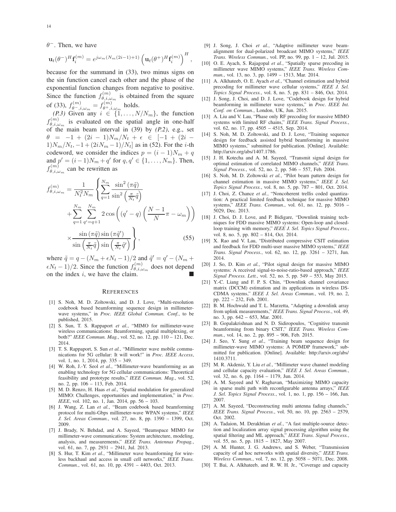$\theta^-$ . Then, we have

$$
\mathbf{u}_t(\theta^-)^H \mathbf{f}_i^{(m)} = e^{j\omega_m (N_m(2i-1)+1)} \left( \mathbf{u}_t(\theta^+)^H \mathbf{f}_i^{(m)} \right)^H,
$$

because for the summand in (33), two minus signs on the sin function cancel each other and the phase of the exponential function changes from negative to positive. Since the function  $f_{\theta,i}^{(m)}$  $\theta_{i,i,\omega_{m}}^{(m)}$  is obtained from the square of (33),  $f_{\theta^-,i,\omega_m}^{(m)} = f_{\theta^+,i}^{(m)}$  $\theta^{(m)}_{\theta^+,i,\omega_m}$  holds.

*(P.3)* Given any  $i \in \{1, ..., N/N_m\}$ , the function  $f_{\theta,i}^{(m)}$  $\theta_{\theta,i,\omega_m}^{(m)}$  is evaluated on the spatial angle in one-half of the main beam interval in (39) by *(P.2)*, e.g., set  $\theta = -1 + (2i - 1)N_m/N_t + \epsilon \in [-1 + (2i 1)N_m/N_t$ ,  $-1 + (2iN_m - 1)/N_t$  as in (52). For the *i*-th codeword, we consider the indices  $p = (i - 1)N_m + q$ and  $p' = (i-1)N_m + q'$  for  $q, q' \in \{1, ..., N_m\}$ . Then,  $f_{\theta,i,a}^{(m)}$  $\theta_{i,i,\omega_{m}}^{(m)}$  can be rewritten as

$$
f_{\theta,i,\omega_m}^{(m)} = \frac{1}{N_t^2 N_m} \left\{ \sum_{q=1}^{N_m} \frac{\sin^2(\pi \tilde{q})}{\sin^2(\frac{\pi}{N_t} \tilde{q})} + \sum_{q=1}^{N_m} \sum_{q'=q+1}^{N_m} 2 \cos\left((q'-q)\left(\frac{N-1}{N}\pi - \omega_m\right)\right) \right\}
$$

$$
\times \frac{\sin\left(\pi \tilde{q}\right) \sin\left(\pi \tilde{q}'\right)}{\sin\left(\frac{\pi}{N_t} \tilde{q}\right) \sin\left(\frac{\pi}{N_t} \tilde{q}'\right)} \right\},\tag{55}
$$

where  $\tilde{q} = q - (N_m + \epsilon N_t - 1)/2$  and  $\tilde{q}' = q' - (N_m +$  $\epsilon N_t - 1$ )/2. Since the function  $f_{\theta, i, \omega}^{(m)}$  $\theta_{\theta,i,\omega_m}^{(m)}$  does not depend on the index  $i$ , we have the claim.

#### **REFERENCES**

- [1] S. Noh, M. D. Zoltowski, and D. J. Love, "Multi-resolution codebook based beamforming sequence design in millimeterwave systems," in *Proc. IEEE Global Commun. Conf.*, to be published, 2015.
- [2] S. Sun, T. S. Rappaport *et al.*, "MIMO for millimeter-wave wireless communications: Beamforming, spatial multiplexing, or both?" *IEEE Commun. Mag.*, vol. 52, no. 12, pp. 110 – 121, Dec. 2014.
- [3] T. S. Rappaport, S. Sun et al., "Millimeter wave mobile communications for 5G cellular: It will work!" in *Proc. IEEE Access*, vol. 1, no. 1, 2014, pp. 335 – 349.
- [4] W. Roh, J.-Y. Seol *et al.*, "Millimeter-wave beamforming as an enabling technology for 5G cellular communications: Theoretical feasibility and prototype results," *IEEE Commun. Mag.*, vol. 52, no. 2, pp. 106 – 113, Feb. 2014.
- [5] M. D. Renzo, H. Haas *et al.*, "Spatial modulation for generalized MIMO: Challenges, opportunities and implementation," in *Proc. IEEE*, vol. 102, no. 1, Jan. 2014, pp. 56 - 103.
- [6] J. Wang, Z. Lan *et al.*, "Beam codebook based beamforming protocol for multi-Gbps millimeter-wave WPAN systems," *IEEE J. Sel. Areas Commun.*, vol. 27, no. 8, pp. 1390 – 1399, Oct. 2009.
- [7] J. Brady, N. Behdad, and A. Sayeed, "Beamspace MIMO for millimeter-wave communications: System architecture, modeling, analysis, and measurements," *IEEE Trans. Antennas Propag.*, vol. 61, no. 7, pp. 2931 – 2941, Jul. 2013.
- [8] S. Hur, T. Kim *et al.*, "Millimeter wave beamforming for wireless backhaul and access in small cell networks," *IEEE Trans. Commun.*, vol. 61, no. 10, pp. 4391 – 4403, Oct. 2013.
- [9] J. Song, J. Choi *et al.*, "Adaptive millimeter wave beamalignment for dual-polarized broadcast MIMO systems," *IEEE Trans. Wireless Commun.*, vol. PP, no. 99, pp. 1 – 12, Jul. 2015.
- [10] O. E. Ayach, S. Rajagopal *et al.*, "Spatially sparse precoding in millimeter wave MIMO systems," *IEEE Trans. Wireless Commun.*, vol. 13, no. 3, pp. 1499 – 1513, Mar. 2014.
- [11] A. Alkhateeb, O. E. Ayach *et al.*, "Channel estimation and hybrid precoding for millimeter wave cellular systems," *IEEE J. Sel. Topics Signal Process.*, vol. 8, no. 5, pp. 831 – 846, Oct. 2014.
- [12] J. Song, J. Choi, and D. J. Love, "Codebook design for hybrid beamforming in millimeter wave systems," in *Proc. IEEE Int. Conf. on Commun.*, London, UK, Jun. 2015.
- [13] A. Liu and V. Lau, "Phase only RF precoding for massive MIMO systems with limited RF chains," *IEEE Trans. Signal Process.*, vol. 62, no. 17, pp. 4505 – 4515, Sep. 2014.
- [14] S. Noh, M. D. Zoltowski, and D. J. Love, "Training sequence design for feedback assisted hybrid beamforming in massive MIMO systems," submitted for publication. [Online]. Available: http://arxiv.org/abs/1407.1786.
- [15] J. H. Kotecha and A. M. Sayeed, "Transmit signal design for optimal estimation of correlated MIMO channels," *IEEE Trans. Signal Process.*, vol. 52, no. 2, pp. 546 – 557, Feb. 2004.
- [16] S. Noh, M. D. Zoltowski et al., "Pilot beam pattern design for channel estimation in massive MIMO systems," *IEEE J. Sel. Topics Signal Process.*, vol. 8, no. 5, pp. 787 – 801, Oct. 2014.
- [17] J. Choi, Z. Chance *et al.*, "Noncoherent trellis coded quantization: A practical limited feedback technique for massive MIMO systems," *IEEE Trans. Commun.*, vol. 61, no. 12, pp. 5016 – 5029, Dec. 2013.
- [18] J. Choi, D. J. Love, and P. Bidigare, "Downlink training techniques for FDD massive MIMO systems: Open-loop and closedloop training with memory," *IEEE J. Sel. Topics Signal Process.*, vol. 8, no. 5, pp. 802 – 814, Oct. 2014.
- [19] X. Rao and V. Lau, "Distributed compressive CSIT estimation and feedback for FDD multi-user massive MIMO systems," *IEEE Trans. Signal Process.*, vol. 62, no. 12, pp. 3261 – 3271, Jun. 2014.
- [20] J. So, D. Kim *et al.*, "Pilot signal design for massive MIMO systems: A received signal-to-noise-ratio-based approach," *IEEE Signal Process. Lett.*, vol. 52, no. 5, pp. 549 – 553, May 2015.
- [21] Y.-C. Liang and F. P. S. Chin, "Downlink channel covariance matrix (DCCM) estimation and its applications in wireless DS-CDMA systems," *IEEE J. Sel. Areas Commun.*, vol. 19, no. 2, pp. 222 – 232, Feb. 2001.
- [22] B. M. Hochwald and T. L. Marzetta, "Adapting a downlink array from uplink measurements," *IEEE Trans. Signal Process.*, vol. 49, no. 3, pp. 642 – 653, Mar. 2001.
- [23] B. Gopalakrishnan and N. D. Sidiropoulos, "Cognitive transmit beamforming from binary CSIT," *IEEE Trans. Wireless Commun.*, vol. 14, no. 2, pp. 895 – 906, Feb. 2015.
- [24] J. Seo, Y. Sung *et al.*, "Training beam sequence design for millimeter-wave MIMO systems: A POMDP framework," submitted for publication. [Online]. Available: http://arxiv.org/abs/ 1410.3711.
- [25] M. R. Akdeniz, Y. Liu et al., "Millimeter wave channel modeling and cellular capacity evaluation," *IEEE J. Sel. Areas Commun.*, vol. 32, no. 6, pp. 1164 – 1179, Jun. 2014.
- [26] A. M. Sayeed and V. Raghavan, "Maximizing MIMO capacity in sparse multi path with reconfigurable antenna arrays," *IEEE J. Sel. Topics Signal Process.*, vol. 1, no. 1, pp. 156 – 166, Jun. 2007.
- [27] A. M. Sayeed, "Deconstructing multi antenna fading channels," *IEEE Trans. Signal Process.*, vol. 50, no. 10, pp. 2563 – 2579, Oct. 2002.
- [28] A. Tadaion, M. Derakhtian et al., "A fast multiple-source detection and localization array signal processing algorithm using the spatial filtering and ML approach," *IEEE Trans. Signal Process.*, vol. 55, no. 5, pp. 1815 – 1827, May 2007.
- [29] A. M. Hunter, J. G. Andrews, and S. Weber, "Transmission capacity of ad hoc networks with spatial diversity," *IEEE Trans. Wireless Commun.*, vol. 7, no. 12, pp. 5058 – 5071, Dec. 2008.
- [30] T. Bai, A. Alkhateeb, and R. W. H. Jr., "Coverage and capacity